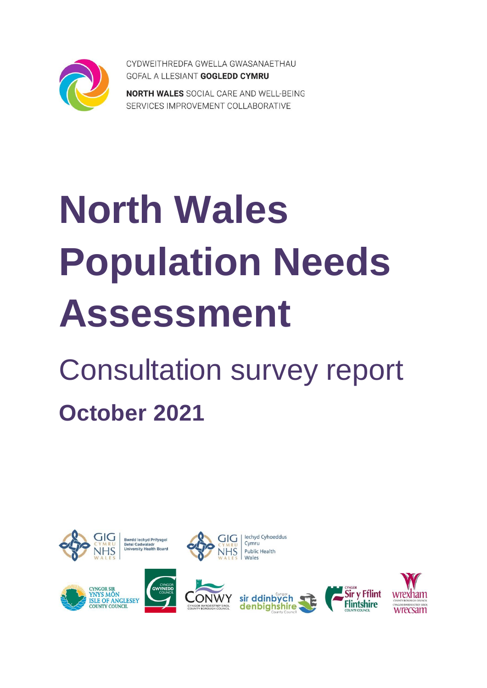

CYDWEITHREDFA GWELLA GWASANAETHAU GOFAL A LLESIANT GOGLEDD CYMRU

**NORTH WALES** SOCIAL CARE AND WELL-BEING SERVICES IMPROVEMENT COLLABORATIVE

# **North Wales Population Needs Assessment**

# Consultation survey report **October 2021**

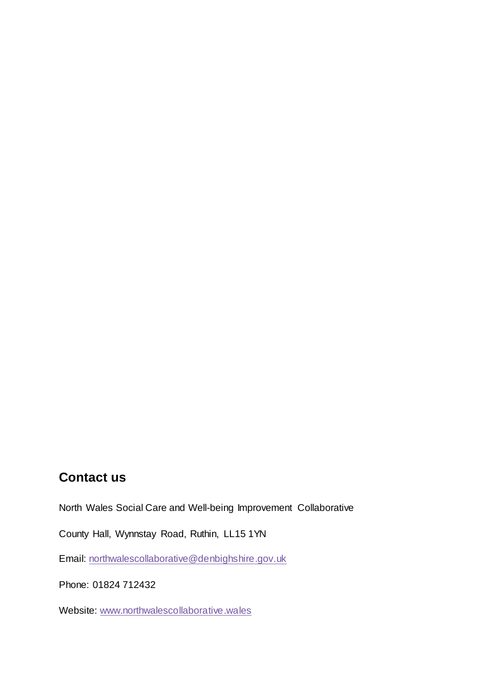### **Contact us**

North Wales Social Care and Well-being Improvement Collaborative

County Hall, Wynnstay Road, Ruthin, LL15 1YN

Email: [northwalescollaborative@denbighshire.gov.uk](mailto:northwalescollaborative@denbighshire.gov.uk)

Phone: 01824 712432

Website: www.northwalescollaborative.wales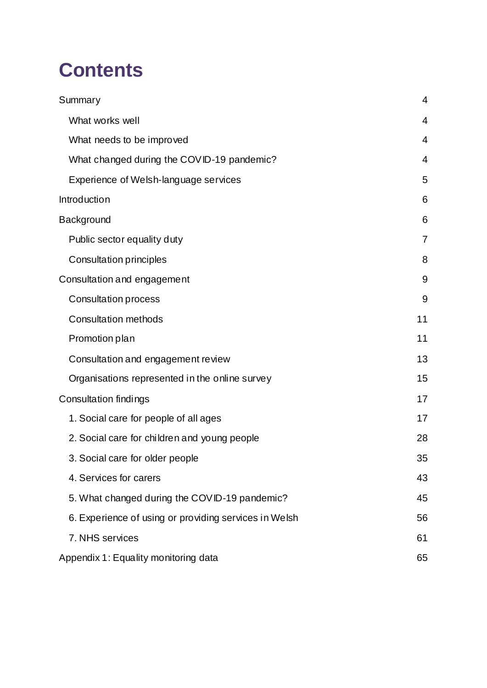# **Contents**

| Summary                                               | $\overline{4}$ |
|-------------------------------------------------------|----------------|
| What works well                                       | $\overline{4}$ |
| What needs to be improved                             | $\overline{4}$ |
| What changed during the COVID-19 pandemic?            | $\overline{4}$ |
| Experience of Welsh-language services                 | 5              |
| Introduction                                          | 6              |
| Background                                            | 6              |
| Public sector equality duty                           | $\overline{7}$ |
| Consultation principles                               | 8              |
| Consultation and engagement                           | 9              |
| <b>Consultation process</b>                           | 9              |
| <b>Consultation methods</b>                           | 11             |
| Promotion plan                                        | 11             |
| Consultation and engagement review                    | 13             |
| Organisations represented in the online survey        | 15             |
| Consultation findings                                 | 17             |
| 1. Social care for people of all ages                 | 17             |
| 2. Social care for children and young people          | 28             |
| 3. Social care for older people                       | 35             |
| 4. Services for carers                                | 43             |
| 5. What changed during the COVID-19 pandemic?         | 45             |
| 6. Experience of using or providing services in Welsh | 56             |
| 7. NHS services                                       | 61             |
| Appendix 1: Equality monitoring data                  | 65             |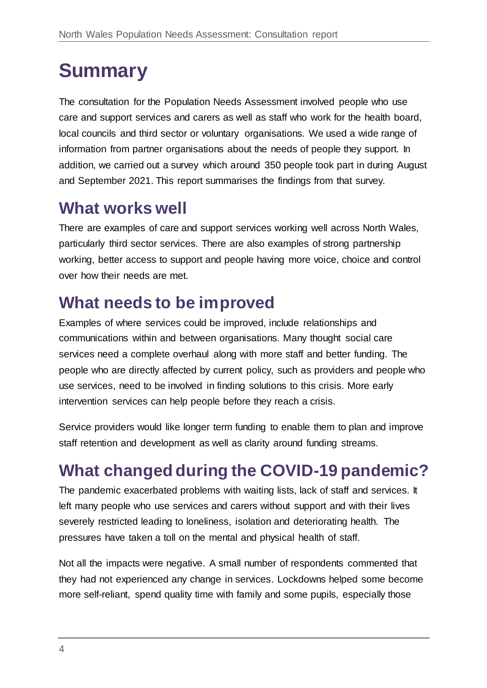# <span id="page-3-0"></span>**Summary**

The consultation for the Population Needs Assessment involved people who use care and support services and carers as well as staff who work for the health board, local councils and third sector or voluntary organisations. We used a wide range of information from partner organisations about the needs of people they support. In addition, we carried out a survey which around 350 people took part in during August and September 2021. This report summarises the findings from that survey.

# <span id="page-3-1"></span>**What works well**

There are examples of care and support services working well across North Wales, particularly third sector services. There are also examples of strong partnership working, better access to support and people having more voice, choice and control over how their needs are met.

# <span id="page-3-2"></span>**What needs to be improved**

Examples of where services could be improved, include relationships and communications within and between organisations. Many thought social care services need a complete overhaul along with more staff and better funding. The people who are directly affected by current policy, such as providers and people who use services, need to be involved in finding solutions to this crisis. More early intervention services can help people before they reach a crisis.

Service providers would like longer term funding to enable them to plan and improve staff retention and development as well as clarity around funding streams.

# <span id="page-3-3"></span>**What changed during the COVID-19 pandemic?**

The pandemic exacerbated problems with waiting lists, lack of staff and services. It left many people who use services and carers without support and with their lives severely restricted leading to loneliness, isolation and deteriorating health. The pressures have taken a toll on the mental and physical health of staff.

Not all the impacts were negative. A small number of respondents commented that they had not experienced any change in services. Lockdowns helped some become more self-reliant, spend quality time with family and some pupils, especially those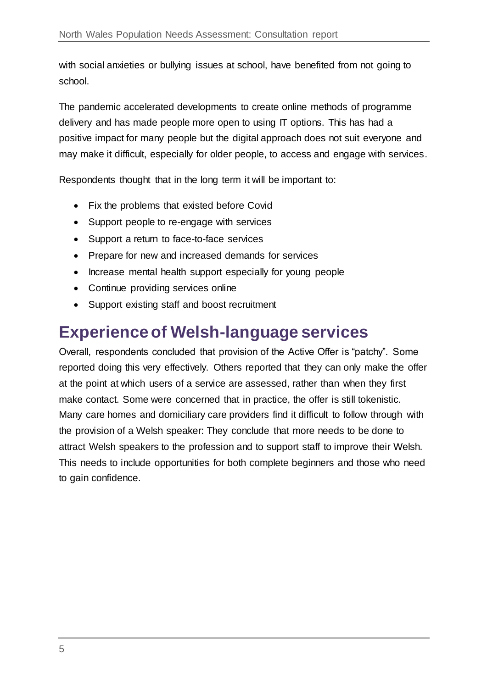with social anxieties or bullying issues at school, have benefited from not going to school.

The pandemic accelerated developments to create online methods of programme delivery and has made people more open to using IT options. This has had a positive impact for many people but the digital approach does not suit everyone and may make it difficult, especially for older people, to access and engage with services.

Respondents thought that in the long term it will be important to:

- Fix the problems that existed before Covid
- Support people to re-engage with services
- Support a return to face-to-face services
- Prepare for new and increased demands for services
- Increase mental health support especially for young people
- Continue providing services online
- Support existing staff and boost recruitment

# <span id="page-4-0"></span>**Experience of Welsh-language services**

Overall, respondents concluded that provision of the Active Offer is "patchy". Some reported doing this very effectively. Others reported that they can only make the offer at the point at which users of a service are assessed, rather than when they first make contact. Some were concerned that in practice, the offer is still tokenistic. Many care homes and domiciliary care providers find it difficult to follow through with the provision of a Welsh speaker: They conclude that more needs to be done to attract Welsh speakers to the profession and to support staff to improve their Welsh. This needs to include opportunities for both complete beginners and those who need to gain confidence.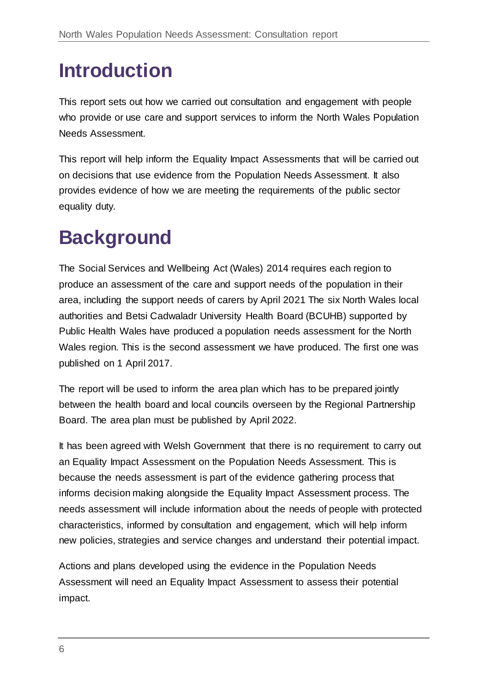# <span id="page-5-0"></span>**Introduction**

This report sets out how we carried out consultation and engagement with people who provide or use care and support services to inform the North Wales Population Needs Assessment.

This report will help inform the Equality Impact Assessments that will be carried out on decisions that use evidence from the Population Needs Assessment. It also provides evidence of how we are meeting the requirements of the public sector equality duty.

# <span id="page-5-1"></span>**Background**

The Social Services and Wellbeing Act (Wales) 2014 requires each region to produce an assessment of the care and support needs of the population in their area, including the support needs of carers by April 2021 The six North Wales local authorities and Betsi Cadwaladr University Health Board (BCUHB) supported by Public Health Wales have produced a population needs assessment for the North Wales region. This is the second assessment we have produced. The first one was published on 1 April 2017.

The report will be used to inform the area plan which has to be prepared jointly between the health board and local councils overseen by the Regional Partnership Board. The area plan must be published by April 2022.

It has been agreed with Welsh Government that there is no requirement to carry out an Equality Impact Assessment on the Population Needs Assessment. This is because the needs assessment is part of the evidence gathering process that informs decision making alongside the Equality Impact Assessment process. The needs assessment will include information about the needs of people with protected characteristics, informed by consultation and engagement, which will help inform new policies, strategies and service changes and understand their potential impact.

Actions and plans developed using the evidence in the Population Needs Assessment will need an Equality Impact Assessment to assess their potential impact.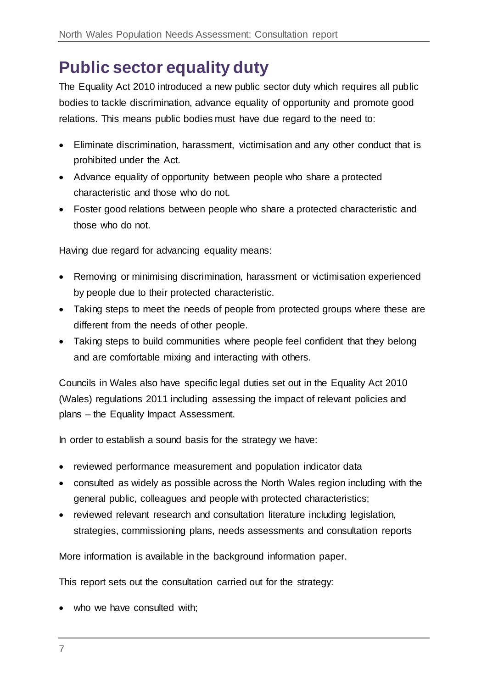# <span id="page-6-0"></span>**Public sector equality duty**

The Equality Act 2010 introduced a new public sector duty which requires all public bodies to tackle discrimination, advance equality of opportunity and promote good relations. This means public bodies must have due regard to the need to:

- Eliminate discrimination, harassment, victimisation and any other conduct that is prohibited under the Act.
- Advance equality of opportunity between people who share a protected characteristic and those who do not.
- Foster good relations between people who share a protected characteristic and those who do not.

Having due regard for advancing equality means:

- Removing or minimising discrimination, harassment or victimisation experienced by people due to their protected characteristic.
- Taking steps to meet the needs of people from protected groups where these are different from the needs of other people.
- Taking steps to build communities where people feel confident that they belong and are comfortable mixing and interacting with others.

Councils in Wales also have specific legal duties set out in the Equality Act 2010 (Wales) regulations 2011 including assessing the impact of relevant policies and plans – the Equality Impact Assessment.

In order to establish a sound basis for the strategy we have:

- reviewed performance measurement and population indicator data
- consulted as widely as possible across the North Wales region including with the general public, colleagues and people with protected characteristics;
- reviewed relevant research and consultation literature including legislation, strategies, commissioning plans, needs assessments and consultation reports

More information is available in the background information paper.

This report sets out the consultation carried out for the strategy:

• who we have consulted with;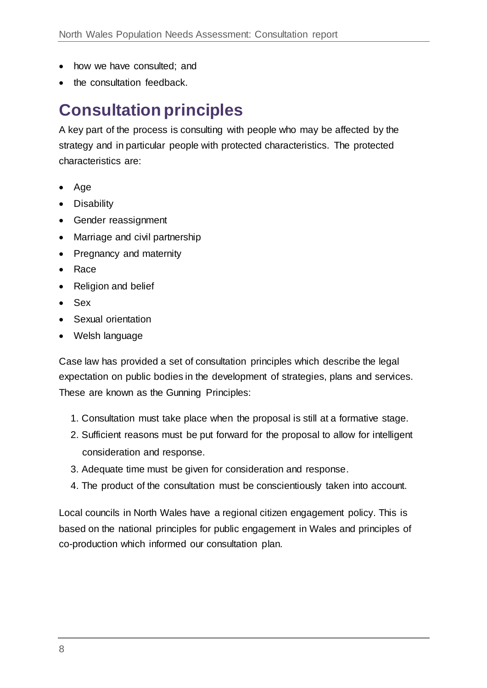- how we have consulted; and
- the consultation feedback.

# <span id="page-7-0"></span>**Consultation principles**

A key part of the process is consulting with people who may be affected by the strategy and in particular people with protected characteristics. The protected characteristics are:

- Age
- Disability
- **•** Gender reassignment
- Marriage and civil partnership
- Pregnancy and maternity
- Race
- Religion and belief
- Sex
- Sexual orientation
- Welsh language

Case law has provided a set of consultation principles which describe the legal expectation on public bodies in the development of strategies, plans and services. These are known as the Gunning Principles:

- 1. Consultation must take place when the proposal is still at a formative stage.
- 2. Sufficient reasons must be put forward for the proposal to allow for intelligent consideration and response.
- 3. Adequate time must be given for consideration and response.
- 4. The product of the consultation must be conscientiously taken into account.

Local councils in North Wales have a regional citizen engagement policy. This is based on the national principles for public engagement in Wales and principles of co-production which informed our consultation plan.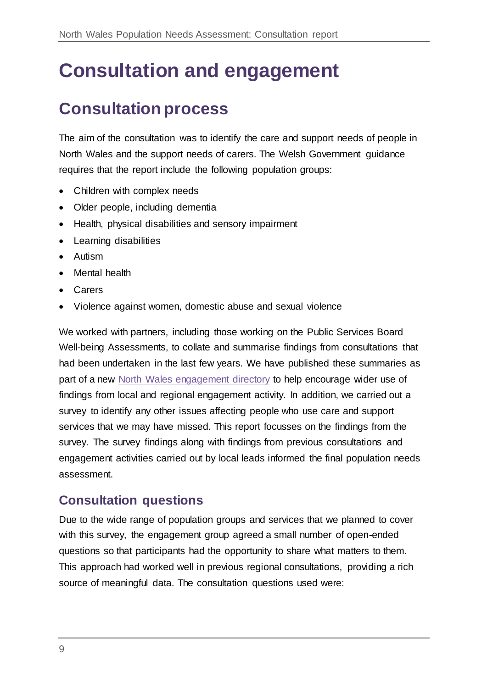# <span id="page-8-0"></span>**Consultation and engagement**

# <span id="page-8-1"></span>**Consultation process**

The aim of the consultation was to identify the care and support needs of people in North Wales and the support needs of carers. The Welsh Government guidance requires that the report include the following population groups:

- Children with complex needs
- Older people, including dementia
- Health, physical disabilities and sensory impairment
- Learning disabilities
- Autism
- Mental health
- Carers
- Violence against women, domestic abuse and sexual violence

We worked with partners, including those working on the Public Services Board Well-being Assessments, to collate and summarise findings from consultations that had been undertaken in the last few years. We have published these summaries as part of a new [North Wales engagement directory](https://www.northwalescollaborative.wales/engagements/) to help encourage wider use of findings from local and regional engagement activity. In addition, we carried out a survey to identify any other issues affecting people who use care and support services that we may have missed. This report focusses on the findings from the survey. The survey findings along with findings from previous consultations and engagement activities carried out by local leads informed the final population needs assessment.

### **Consultation questions**

Due to the wide range of population groups and services that we planned to cover with this survey, the engagement group agreed a small number of open-ended questions so that participants had the opportunity to share what matters to them. This approach had worked well in previous regional consultations, providing a rich source of meaningful data. The consultation questions used were: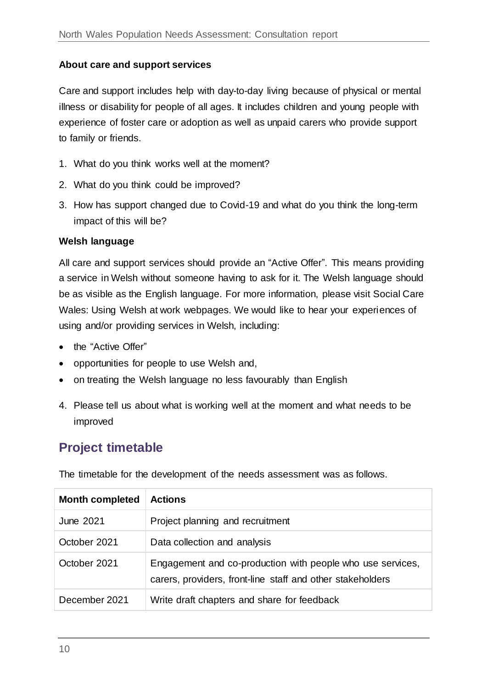#### **About care and support services**

Care and support includes help with day-to-day living because of physical or mental illness or disability for people of all ages. It includes children and young people with experience of foster care or adoption as well as unpaid carers who provide support to family or friends.

- 1. What do you think works well at the moment?
- 2. What do you think could be improved?
- 3. How has support changed due to Covid-19 and what do you think the long-term impact of this will be?

#### **Welsh language**

All care and support services should provide an "Active Offer". This means providing a service in Welsh without someone having to ask for it. The Welsh language should be as visible as the English language. For more information, please visit Social Care Wales: Using Welsh at work webpages. We would like to hear your experiences of using and/or providing services in Welsh, including:

- the "Active Offer"
- opportunities for people to use Welsh and,
- on treating the Welsh language no less favourably than English
- 4. Please tell us about what is working well at the moment and what needs to be improved

### **Project timetable**

The timetable for the development of the needs assessment was as follows.

| <b>Month completed</b> | <b>Actions</b>                                                                                                           |
|------------------------|--------------------------------------------------------------------------------------------------------------------------|
| June 2021              | Project planning and recruitment                                                                                         |
| October 2021           | Data collection and analysis                                                                                             |
| October 2021           | Engagement and co-production with people who use services,<br>carers, providers, front-line staff and other stakeholders |
| December 2021          | Write draft chapters and share for feedback                                                                              |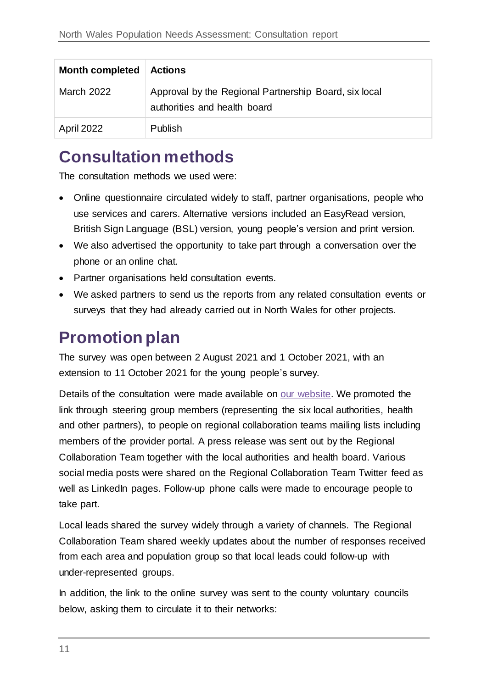| <b>Month completed</b> | <b>Actions</b>                                                                        |
|------------------------|---------------------------------------------------------------------------------------|
| March 2022             | Approval by the Regional Partnership Board, six local<br>authorities and health board |
| <b>April 2022</b>      | <b>Publish</b>                                                                        |

# <span id="page-10-0"></span>**Consultation methods**

The consultation methods we used were:

- Online questionnaire circulated widely to staff, partner organisations, people who use services and carers. Alternative versions included an EasyRead version, British Sign Language (BSL) version, young people's version and print version.
- We also advertised the opportunity to take part through a conversation over the phone or an online chat.
- Partner organisations held consultation events.
- We asked partners to send us the reports from any related consultation events or surveys that they had already carried out in North Wales for other projects.

# <span id="page-10-1"></span>**Promotion plan**

The survey was open between 2 August 2021 and 1 October 2021, with an extension to 11 October 2021 for the young people's survey.

Details of the consultation were made available on [our website.](http://www.northwalescollaborative.wales/) We promoted the link through steering group members (representing the six local authorities, health and other partners), to people on regional collaboration teams mailing lists including members of the provider portal. A press release was sent out by the Regional Collaboration Team together with the local authorities and health board. Various social media posts were shared on the Regional Collaboration Team Twitter feed as well as LinkedIn pages. Follow-up phone calls were made to encourage people to take part.

Local leads shared the survey widely through a variety of channels. The Regional Collaboration Team shared weekly updates about the number of responses received from each area and population group so that local leads could follow-up with under-represented groups.

In addition, the link to the online survey was sent to the county voluntary councils below, asking them to circulate it to their networks: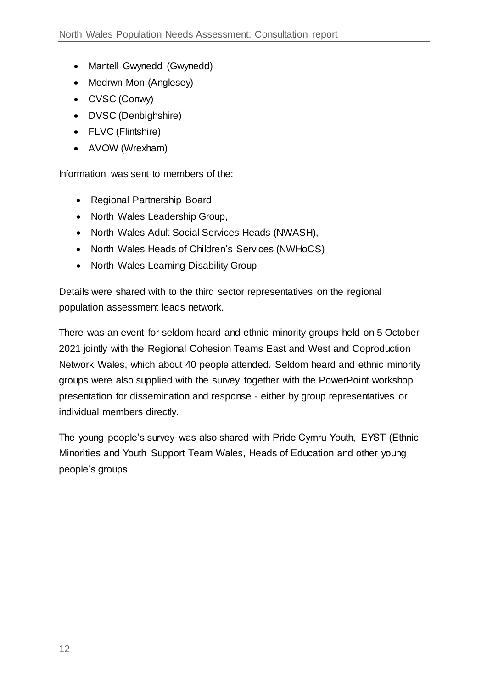- Mantell Gwynedd (Gwynedd)
- Medrwn Mon (Anglesey)
- CVSC (Conwy)
- DVSC (Denbighshire)
- FLVC (Flintshire)
- AVOW (Wrexham)

Information was sent to members of the:

- Regional Partnership Board
- North Wales Leadership Group,
- North Wales Adult Social Services Heads (NWASH),
- North Wales Heads of Children's Services (NWHoCS)
- North Wales Learning Disability Group

Details were shared with to the third sector representatives on the regional population assessment leads network.

There was an event for seldom heard and ethnic minority groups held on 5 October 2021 jointly with the Regional Cohesion Teams East and West and Coproduction Network Wales, which about 40 people attended. Seldom heard and ethnic minority groups were also supplied with the survey together with the PowerPoint workshop presentation for dissemination and response - either by group representatives or individual members directly.

The young people's survey was also shared with Pride Cymru Youth, EYST (Ethnic Minorities and Youth Support Team Wales, Heads of Education and other young people's groups.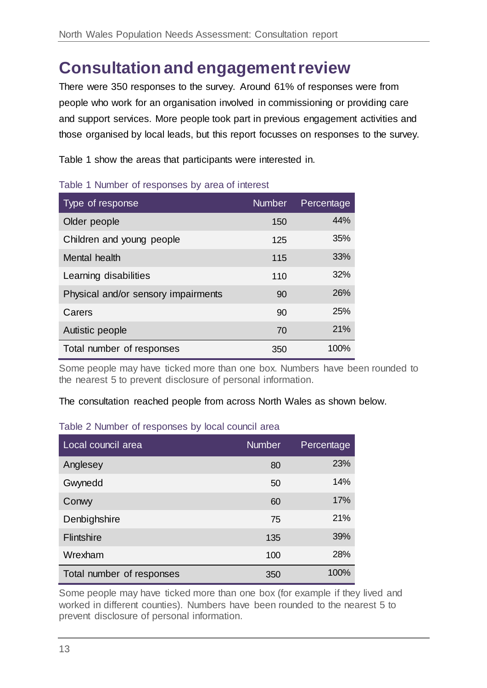# <span id="page-12-0"></span>**Consultation and engagement review**

There were 350 responses to the survey. Around 61% of responses were from people who work for an organisation involved in commissioning or providing care and support services. More people took part in previous engagement activities and those organised by local leads, but this report focusses on responses to the survey.

Table 1 show the areas that participants were interested in.

| Type of response                    | <b>Number</b> | Percentage |
|-------------------------------------|---------------|------------|
| Older people                        | 150           | 44%        |
| Children and young people           | 125           | 35%        |
| Mental health                       | 115           | 33%        |
| Learning disabilities               | 110           | 32%        |
| Physical and/or sensory impairments | 90            | 26%        |
| Carers                              | 90            | <b>25%</b> |
| Autistic people                     | 70            | 21%        |
| Total number of responses           | 350           | 100%       |

#### Table 1 Number of responses by area of interest

Some people may have ticked more than one box. Numbers have been rounded to the nearest 5 to prevent disclosure of personal information.

#### The consultation reached people from across North Wales as shown below.

#### Table 2 Number of responses by local council area

| Local council area        | <b>Number</b> | Percentage |
|---------------------------|---------------|------------|
| Anglesey                  | 80            | 23%        |
| Gwynedd                   | 50            | 14%        |
| Conwy                     | 60            | 17%        |
| Denbighshire              | 75            | 21%        |
| Flintshire                | 135           | 39%        |
| Wrexham                   | 100           | 28%        |
| Total number of responses | 350           | 100%       |

Some people may have ticked more than one box (for example if they lived and worked in different counties). Numbers have been rounded to the nearest 5 to prevent disclosure of personal information.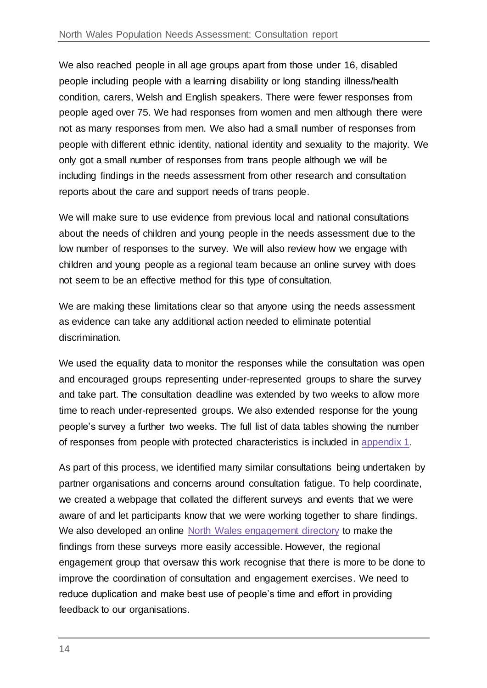We also reached people in all age groups apart from those under 16, disabled people including people with a learning disability or long standing illness/health condition, carers, Welsh and English speakers. There were fewer responses from people aged over 75. We had responses from women and men although there were not as many responses from men. We also had a small number of responses from people with different ethnic identity, national identity and sexuality to the majority. We only got a small number of responses from trans people although we will be including findings in the needs assessment from other research and consultation reports about the care and support needs of trans people.

We will make sure to use evidence from previous local and national consultations about the needs of children and young people in the needs assessment due to the low number of responses to the survey. We will also review how we engage with children and young people as a regional team because an online survey with does not seem to be an effective method for this type of consultation.

We are making these limitations clear so that anyone using the needs assessment as evidence can take any additional action needed to eliminate potential discrimination.

We used the equality data to monitor the responses while the consultation was open and encouraged groups representing under-represented groups to share the survey and take part. The consultation deadline was extended by two weeks to allow more time to reach under-represented groups. We also extended response for the young people's survey a further two weeks. The full list of data tables showing the number of responses from people with protected characteristics is included in [appendix 1.](#page-64-0)

As part of this process, we identified many similar consultations being undertaken by partner organisations and concerns around consultation fatigue. To help coordinate, we created a webpage that collated the different surveys and events that we were aware of and let participants know that we were working together to share findings. We also developed an online [North Wales engagement directory](https://www.northwalescollaborative.wales/engagements/) to make the findings from these surveys more easily accessible. However, the regional engagement group that oversaw this work recognise that there is more to be done to improve the coordination of consultation and engagement exercises. We need to reduce duplication and make best use of people's time and effort in providing feedback to our organisations.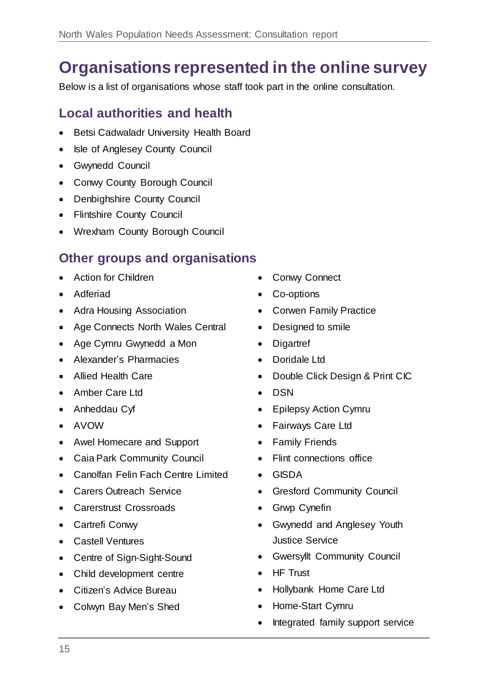# <span id="page-14-0"></span>**Organisations represented in the online survey**

Below is a list of organisations whose staff took part in the online consultation.

### **Local authorities and health**

- Betsi Cadwaladr University Health Board
- Isle of Anglesey County Council
- Gwynedd Council
- Conwy County Borough Council
- Denbighshire County Council
- Flintshire County Council
- Wrexham County Borough Council

### **Other groups and organisations**

- Action for Children
- Adferiad
- Adra Housing Association
- Age Connects North Wales Central
- Age Cymru Gwynedd a Mon
- Alexander's Pharmacies
- Allied Health Care
- Amber Care Ltd
- Anheddau Cyf
- AVOW
- Awel Homecare and Support
- Caia Park Community Council
- Canolfan Felin Fach Centre Limited
- Carers Outreach Service
- Carerstrust Crossroads
- Cartrefi Conwy
- Castell Ventures
- Centre of Sign-Sight-Sound
- Child development centre
- Citizen's Advice Bureau
- Colwyn Bay Men's Shed
- Conwy Connect
- Co-options
- Corwen Family Practice
- Designed to smile
- Digartref
- Doridale Ltd
- Double Click Design & Print CIC
- DSN
- Epilepsy Action Cymru
- Fairways Care Ltd
- Family Friends
- Flint connections office
- GISDA
- Gresford Community Council
- Grwp Cynefin
- Gwynedd and Anglesey Youth Justice Service
- Gwersyllt Community Council
- HF Trust
- Hollybank Home Care Ltd
- Home-Start Cymru
- Integrated family support service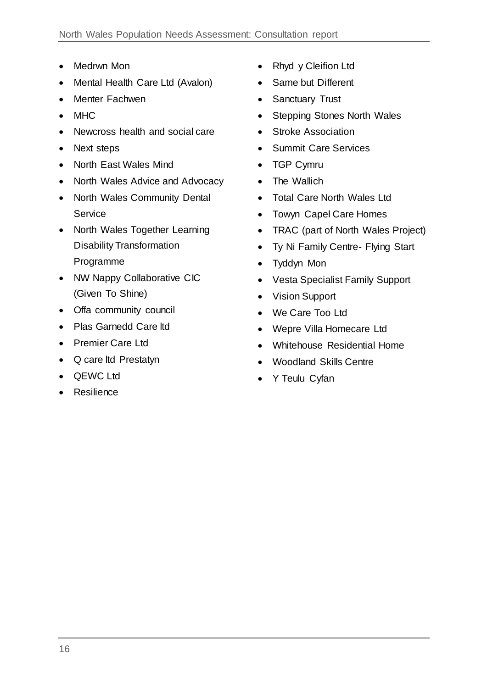- Medrwn Mon
- Mental Health Care Ltd (Avalon)
- Menter Fachwen
- MHC
- Newcross health and social care
- Next steps
- North East Wales Mind
- North Wales Advice and Advocacy
- North Wales Community Dental Service
- North Wales Together Learning Disability Transformation Programme
- NW Nappy Collaborative CIC (Given To Shine)
- Offa community council
- Plas Garnedd Care Itd
- Premier Care Ltd
- Q care ltd Prestatyn
- QEWC Ltd
- Resilience
- Rhyd y Cleifion Ltd
- Same but Different
- Sanctuary Trust
- Stepping Stones North Wales
- Stroke Association
- Summit Care Services
- TGP Cymru
- The Wallich
- Total Care North Wales Ltd
- Towyn Capel Care Homes
- TRAC (part of North Wales Project)
- Ty Ni Family Centre- Flying Start
- Tyddyn Mon
- Vesta Specialist Family Support
- Vision Support
- We Care Too Ltd
- Wepre Villa Homecare Ltd
- Whitehouse Residential Home
- Woodland Skills Centre
- Y Teulu Cyfan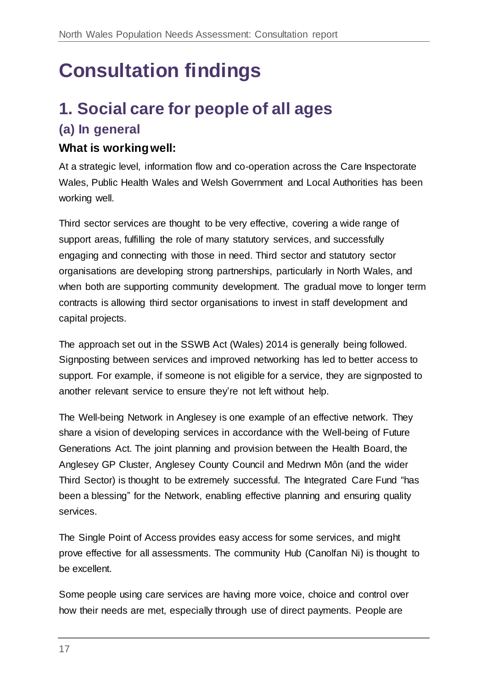# <span id="page-16-0"></span>**Consultation findings**

# <span id="page-16-1"></span>**1. Social care for people of all ages (a) In general**

# **What is working well:**

At a strategic level, information flow and co-operation across the Care Inspectorate Wales, Public Health Wales and Welsh Government and Local Authorities has been working well.

Third sector services are thought to be very effective, covering a wide range of support areas, fulfilling the role of many statutory services, and successfully engaging and connecting with those in need. Third sector and statutory sector organisations are developing strong partnerships, particularly in North Wales, and when both are supporting community development. The gradual move to longer term contracts is allowing third sector organisations to invest in staff development and capital projects.

The approach set out in the SSWB Act (Wales) 2014 is generally being followed. Signposting between services and improved networking has led to better access to support. For example, if someone is not eligible for a service, they are signposted to another relevant service to ensure they're not left without help.

The Well-being Network in Anglesey is one example of an effective network. They share a vision of developing services in accordance with the Well-being of Future Generations Act. The joint planning and provision between the Health Board, the Anglesey GP Cluster, Anglesey County Council and Medrwn Môn (and the wider Third Sector) is thought to be extremely successful. The Integrated Care Fund "has been a blessing" for the Network, enabling effective planning and ensuring quality services.

The Single Point of Access provides easy access for some services, and might prove effective for all assessments. The community Hub (Canolfan Ni) is thought to be excellent.

Some people using care services are having more voice, choice and control over how their needs are met, especially through use of direct payments. People are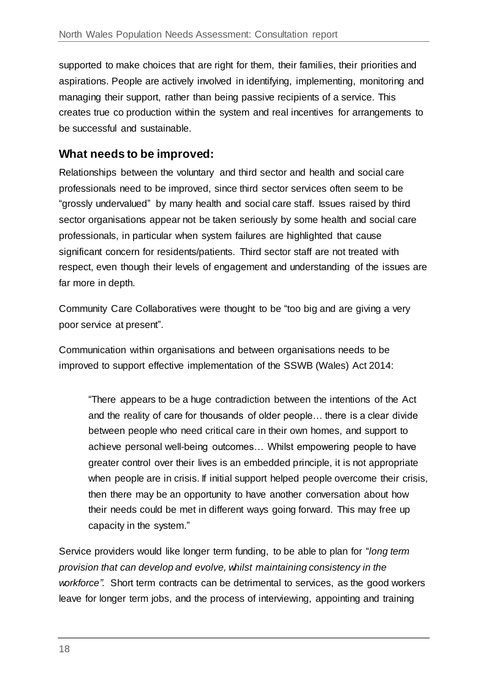supported to make choices that are right for them, their families, their priorities and aspirations. People are actively involved in identifying, implementing, monitoring and managing their support, rather than being passive recipients of a service. This creates true co production within the system and real incentives for arrangements to be successful and sustainable.

#### **What needs to be improved:**

Relationships between the voluntary and third sector and health and social care professionals need to be improved, since third sector services often seem to be "grossly undervalued" by many health and social care staff. Issues raised by third sector organisations appear not be taken seriously by some health and social care professionals, in particular when system failures are highlighted that cause significant concern for residents/patients. Third sector staff are not treated with respect, even though their levels of engagement and understanding of the issues are far more in depth.

Community Care Collaboratives were thought to be "too big and are giving a very poor service at present".

Communication within organisations and between organisations needs to be improved to support effective implementation of the SSWB (Wales) Act 2014:

"There appears to be a huge contradiction between the intentions of the Act and the reality of care for thousands of older people… there is a clear divide between people who need critical care in their own homes, and support to achieve personal well-being outcomes… Whilst empowering people to have greater control over their lives is an embedded principle, it is not appropriate when people are in crisis. If initial support helped people overcome their crisis, then there may be an opportunity to have another conversation about how their needs could be met in different ways going forward. This may free up capacity in the system."

Service providers would like longer term funding, to be able to plan for "*long term provision that can develop and evolve, whilst maintaining consistency in the workforce"*. Short term contracts can be detrimental to services, as the good workers leave for longer term jobs, and the process of interviewing, appointing and training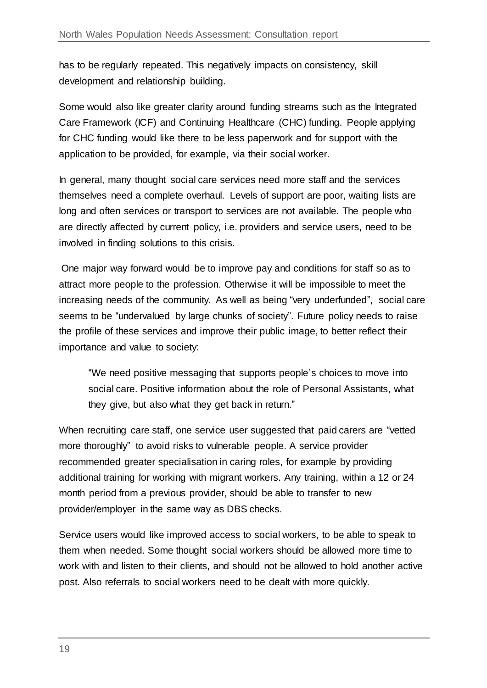has to be regularly repeated. This negatively impacts on consistency, skill development and relationship building.

Some would also like greater clarity around funding streams such as the Integrated Care Framework (ICF) and Continuing Healthcare (CHC) funding. People applying for CHC funding would like there to be less paperwork and for support with the application to be provided, for example, via their social worker.

In general, many thought social care services need more staff and the services themselves need a complete overhaul. Levels of support are poor, waiting lists are long and often services or transport to services are not available. The people who are directly affected by current policy, i.e. providers and service users, need to be involved in finding solutions to this crisis.

One major way forward would be to improve pay and conditions for staff so as to attract more people to the profession. Otherwise it will be impossible to meet the increasing needs of the community. As well as being "very underfunded", social care seems to be "undervalued by large chunks of society". Future policy needs to raise the profile of these services and improve their public image, to better reflect their importance and value to society:

"We need positive messaging that supports people's choices to move into social care. Positive information about the role of Personal Assistants, what they give, but also what they get back in return."

When recruiting care staff, one service user suggested that paid carers are "vetted more thoroughly" to avoid risks to vulnerable people. A service provider recommended greater specialisation in caring roles, for example by providing additional training for working with migrant workers. Any training, within a 12 or 24 month period from a previous provider, should be able to transfer to new provider/employer in the same way as DBS checks.

Service users would like improved access to social workers, to be able to speak to them when needed. Some thought social workers should be allowed more time to work with and listen to their clients, and should not be allowed to hold another active post. Also referrals to social workers need to be dealt with more quickly.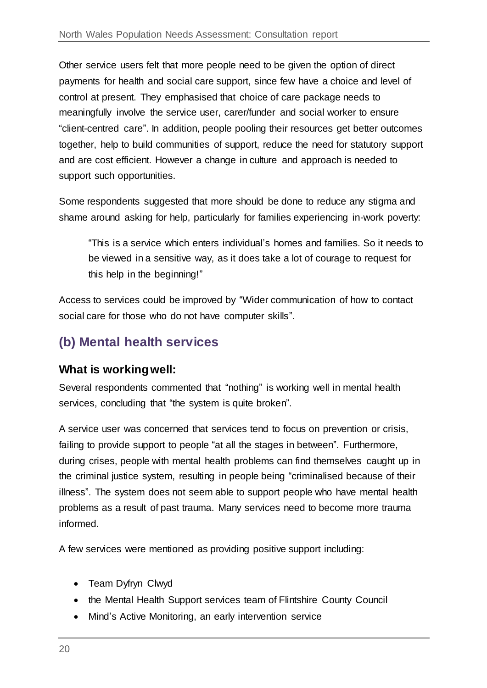Other service users felt that more people need to be given the option of direct payments for health and social care support, since few have a choice and level of control at present. They emphasised that choice of care package needs to meaningfully involve the service user, carer/funder and social worker to ensure "client-centred care". In addition, people pooling their resources get better outcomes together, help to build communities of support, reduce the need for statutory support and are cost efficient. However a change in culture and approach is needed to support such opportunities.

Some respondents suggested that more should be done to reduce any stigma and shame around asking for help, particularly for families experiencing in-work poverty:

"This is a service which enters individual's homes and families. So it needs to be viewed in a sensitive way, as it does take a lot of courage to request for this help in the beginning!"

Access to services could be improved by "Wider communication of how to contact social care for those who do not have computer skills".

# **(b) Mental health services**

#### **What is working well:**

Several respondents commented that "nothing" is working well in mental health services, concluding that "the system is quite broken".

A service user was concerned that services tend to focus on prevention or crisis, failing to provide support to people "at all the stages in between". Furthermore, during crises, people with mental health problems can find themselves caught up in the criminal justice system, resulting in people being "criminalised because of their illness". The system does not seem able to support people who have mental health problems as a result of past trauma. Many services need to become more trauma informed.

A few services were mentioned as providing positive support including:

- Team Dyfryn Clwyd
- the Mental Health Support services team of Flintshire County Council
- Mind's Active Monitoring, an early intervention service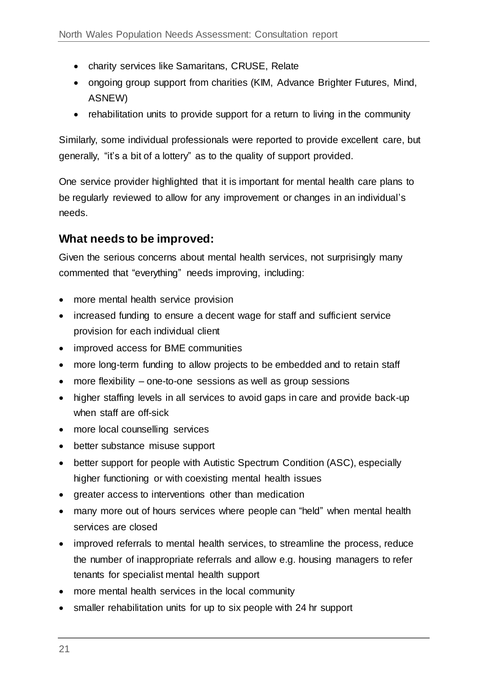- charity services like Samaritans, CRUSE, Relate
- ongoing group support from charities (KIM, Advance Brighter Futures, Mind, ASNEW)
- rehabilitation units to provide support for a return to living in the community

Similarly, some individual professionals were reported to provide excellent care, but generally, "it's a bit of a lottery" as to the quality of support provided.

One service provider highlighted that it is important for mental health care plans to be regularly reviewed to allow for any improvement or changes in an individual's needs.

#### **What needs to be improved:**

Given the serious concerns about mental health services, not surprisingly many commented that "everything" needs improving, including:

- more mental health service provision
- increased funding to ensure a decent wage for staff and sufficient service provision for each individual client
- improved access for BME communities
- more long-term funding to allow projects to be embedded and to retain staff
- more flexibility one-to-one sessions as well as group sessions
- higher staffing levels in all services to avoid gaps in care and provide back-up when staff are off-sick
- more local counselling services
- better substance misuse support
- better support for people with Autistic Spectrum Condition (ASC), especially higher functioning or with coexisting mental health issues
- greater access to interventions other than medication
- many more out of hours services where people can "held" when mental health services are closed
- improved referrals to mental health services, to streamline the process, reduce the number of inappropriate referrals and allow e.g. housing managers to refer tenants for specialist mental health support
- more mental health services in the local community
- smaller rehabilitation units for up to six people with 24 hr support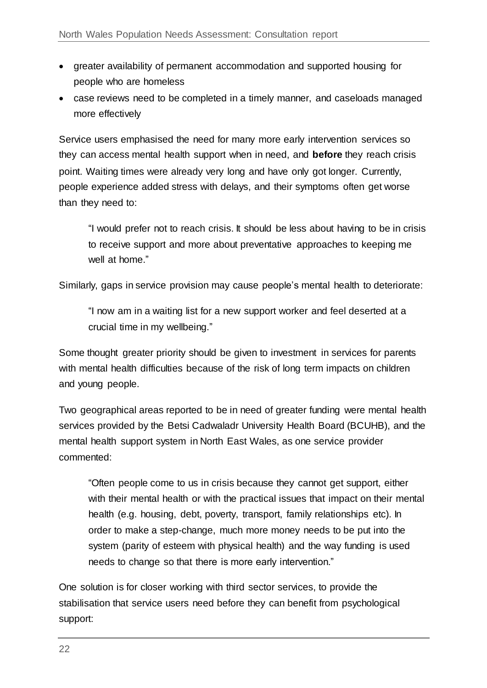- greater availability of permanent accommodation and supported housing for people who are homeless
- case reviews need to be completed in a timely manner, and caseloads managed more effectively

Service users emphasised the need for many more early intervention services so they can access mental health support when in need, and **before** they reach crisis point. Waiting times were already very long and have only got longer. Currently, people experience added stress with delays, and their symptoms often get worse than they need to:

"I would prefer not to reach crisis. It should be less about having to be in crisis to receive support and more about preventative approaches to keeping me well at home."

Similarly, gaps in service provision may cause people's mental health to deteriorate:

"I now am in a waiting list for a new support worker and feel deserted at a crucial time in my wellbeing."

Some thought greater priority should be given to investment in services for parents with mental health difficulties because of the risk of long term impacts on children and young people.

Two geographical areas reported to be in need of greater funding were mental health services provided by the Betsi Cadwaladr University Health Board (BCUHB), and the mental health support system in North East Wales, as one service provider commented:

"Often people come to us in crisis because they cannot get support, either with their mental health or with the practical issues that impact on their mental health (e.g. housing, debt, poverty, transport, family relationships etc). In order to make a step-change, much more money needs to be put into the system (parity of esteem with physical health) and the way funding is used needs to change so that there is more early intervention."

One solution is for closer working with third sector services, to provide the stabilisation that service users need before they can benefit from psychological support: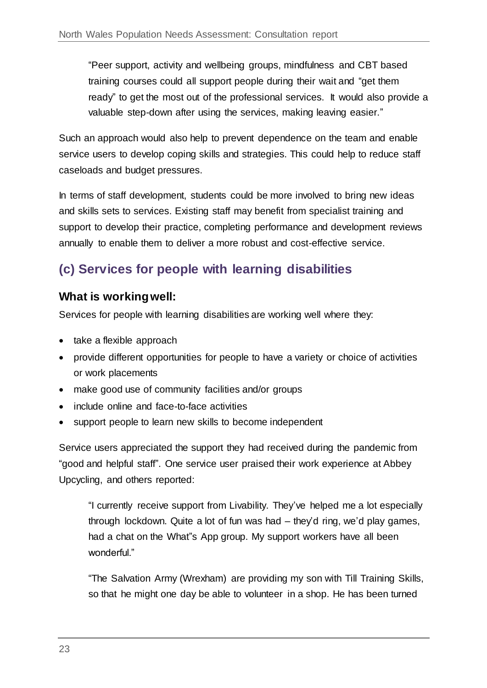"Peer support, activity and wellbeing groups, mindfulness and CBT based training courses could all support people during their wait and "get them ready" to get the most out of the professional services. It would also provide a valuable step-down after using the services, making leaving easier."

Such an approach would also help to prevent dependence on the team and enable service users to develop coping skills and strategies. This could help to reduce staff caseloads and budget pressures.

In terms of staff development, students could be more involved to bring new ideas and skills sets to services. Existing staff may benefit from specialist training and support to develop their practice, completing performance and development reviews annually to enable them to deliver a more robust and cost-effective service.

# **(c) Services for people with learning disabilities**

#### **What is working well:**

Services for people with learning disabilities are working well where they:

- take a flexible approach
- provide different opportunities for people to have a variety or choice of activities or work placements
- make good use of community facilities and/or groups
- include online and face-to-face activities
- support people to learn new skills to become independent

Service users appreciated the support they had received during the pandemic from "good and helpful staff". One service user praised their work experience at Abbey Upcycling, and others reported:

"I currently receive support from Livability. They've helped me a lot especially through lockdown. Quite a lot of fun was had – they'd ring, we'd play games, had a chat on the What"s App group. My support workers have all been wonderful."

"The Salvation Army (Wrexham) are providing my son with Till Training Skills, so that he might one day be able to volunteer in a shop. He has been turned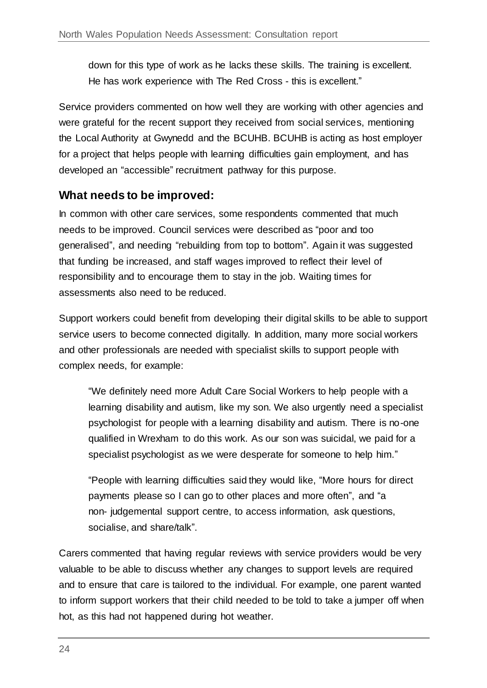down for this type of work as he lacks these skills. The training is excellent. He has work experience with The Red Cross - this is excellent."

Service providers commented on how well they are working with other agencies and were grateful for the recent support they received from social services, mentioning the Local Authority at Gwynedd and the BCUHB. BCUHB is acting as host employer for a project that helps people with learning difficulties gain employment, and has developed an "accessible" recruitment pathway for this purpose.

#### **What needs to be improved:**

In common with other care services, some respondents commented that much needs to be improved. Council services were described as "poor and too generalised", and needing "rebuilding from top to bottom". Again it was suggested that funding be increased, and staff wages improved to reflect their level of responsibility and to encourage them to stay in the job. Waiting times for assessments also need to be reduced.

Support workers could benefit from developing their digital skills to be able to support service users to become connected digitally. In addition, many more social workers and other professionals are needed with specialist skills to support people with complex needs, for example:

"We definitely need more Adult Care Social Workers to help people with a learning disability and autism, like my son. We also urgently need a specialist psychologist for people with a learning disability and autism. There is no-one qualified in Wrexham to do this work. As our son was suicidal, we paid for a specialist psychologist as we were desperate for someone to help him."

"People with learning difficulties said they would like, "More hours for direct payments please so I can go to other places and more often", and "a non- judgemental support centre, to access information, ask questions, socialise, and share/talk".

Carers commented that having regular reviews with service providers would be very valuable to be able to discuss whether any changes to support levels are required and to ensure that care is tailored to the individual. For example, one parent wanted to inform support workers that their child needed to be told to take a jumper off when hot, as this had not happened during hot weather.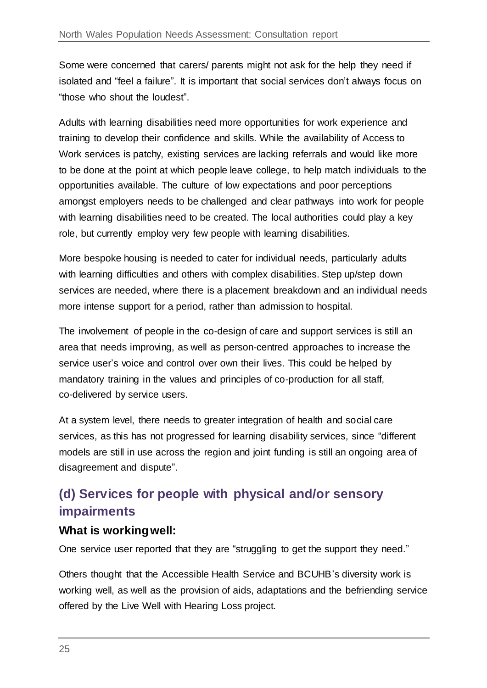Some were concerned that carers/ parents might not ask for the help they need if isolated and "feel a failure". It is important that social services don't always focus on "those who shout the loudest".

Adults with learning disabilities need more opportunities for work experience and training to develop their confidence and skills. While the availability of Access to Work services is patchy, existing services are lacking referrals and would like more to be done at the point at which people leave college, to help match individuals to the opportunities available. The culture of low expectations and poor perceptions amongst employers needs to be challenged and clear pathways into work for people with learning disabilities need to be created. The local authorities could play a key role, but currently employ very few people with learning disabilities.

More bespoke housing is needed to cater for individual needs, particularly adults with learning difficulties and others with complex disabilities. Step up/step down services are needed, where there is a placement breakdown and an individual needs more intense support for a period, rather than admission to hospital.

The involvement of people in the co-design of care and support services is still an area that needs improving, as well as person-centred approaches to increase the service user's voice and control over own their lives. This could be helped by mandatory training in the values and principles of co-production for all staff, co-delivered by service users.

At a system level, there needs to greater integration of health and social care services, as this has not progressed for learning disability services, since "different models are still in use across the region and joint funding is still an ongoing area of disagreement and dispute".

# **(d) Services for people with physical and/or sensory impairments**

#### **What is working well:**

One service user reported that they are "struggling to get the support they need."

Others thought that the Accessible Health Service and BCUHB's diversity work is working well, as well as the provision of aids, adaptations and the befriending service offered by the Live Well with Hearing Loss project.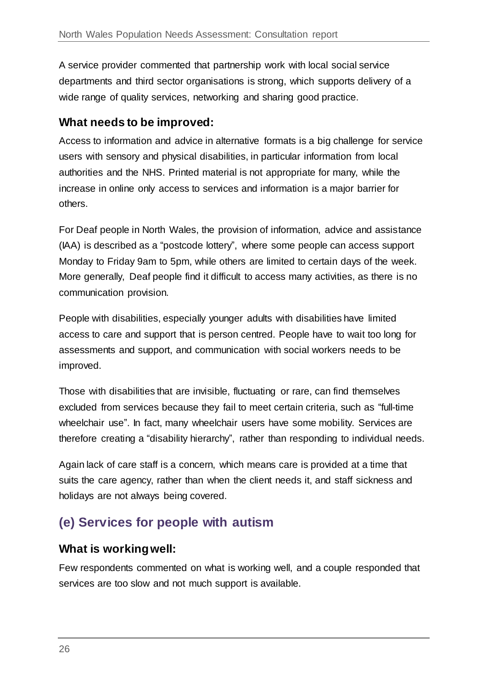A service provider commented that partnership work with local social service departments and third sector organisations is strong, which supports delivery of a wide range of quality services, networking and sharing good practice.

#### **What needs to be improved:**

Access to information and advice in alternative formats is a big challenge for service users with sensory and physical disabilities, in particular information from local authorities and the NHS. Printed material is not appropriate for many, while the increase in online only access to services and information is a major barrier for others.

For Deaf people in North Wales, the provision of information, advice and assistance (IAA) is described as a "postcode lottery", where some people can access support Monday to Friday 9am to 5pm, while others are limited to certain days of the week. More generally, Deaf people find it difficult to access many activities, as there is no communication provision.

People with disabilities, especially younger adults with disabilities have limited access to care and support that is person centred. People have to wait too long for assessments and support, and communication with social workers needs to be improved.

Those with disabilities that are invisible, fluctuating or rare, can find themselves excluded from services because they fail to meet certain criteria, such as "full-time wheelchair use". In fact, many wheelchair users have some mobility. Services are therefore creating a "disability hierarchy", rather than responding to individual needs.

Again lack of care staff is a concern, which means care is provided at a time that suits the care agency, rather than when the client needs it, and staff sickness and holidays are not always being covered.

# **(e) Services for people with autism**

#### **What is working well:**

Few respondents commented on what is working well, and a couple responded that services are too slow and not much support is available.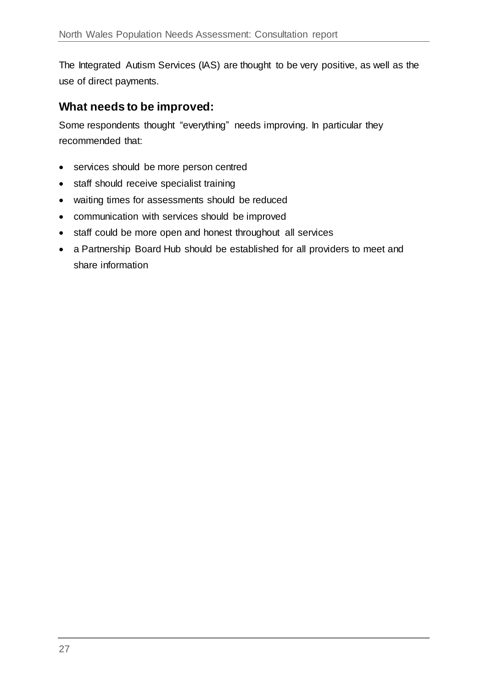The Integrated Autism Services (IAS) are thought to be very positive, as well as the use of direct payments.

#### **What needs to be improved:**

Some respondents thought "everything" needs improving. In particular they recommended that:

- services should be more person centred
- staff should receive specialist training
- waiting times for assessments should be reduced
- communication with services should be improved
- staff could be more open and honest throughout all services
- a Partnership Board Hub should be established for all providers to meet and share information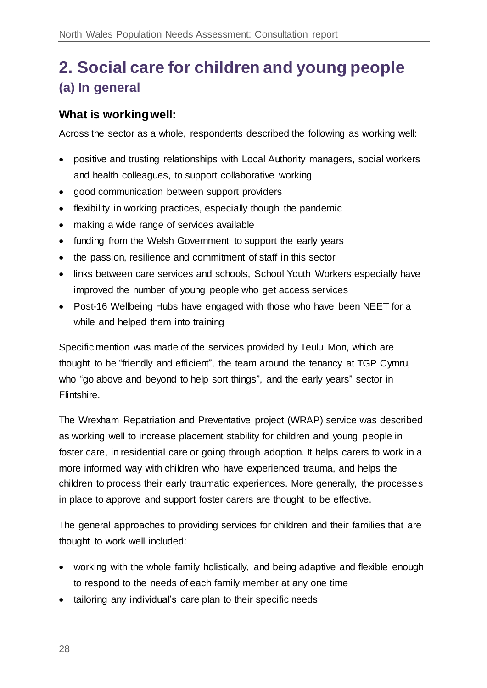# <span id="page-27-0"></span>**2. Social care for children and young people (a) In general**

#### **What is working well:**

Across the sector as a whole, respondents described the following as working well:

- positive and trusting relationships with Local Authority managers, social workers and health colleagues, to support collaborative working
- good communication between support providers
- flexibility in working practices, especially though the pandemic
- making a wide range of services available
- funding from the Welsh Government to support the early years
- the passion, resilience and commitment of staff in this sector
- links between care services and schools, School Youth Workers especially have improved the number of young people who get access services
- Post-16 Wellbeing Hubs have engaged with those who have been NEET for a while and helped them into training

Specific mention was made of the services provided by Teulu Mon, which are thought to be "friendly and efficient", the team around the tenancy at TGP Cymru, who "go above and beyond to help sort things", and the early years" sector in Flintshire.

The Wrexham Repatriation and Preventative project (WRAP) service was described as working well to increase placement stability for children and young people in foster care, in residential care or going through adoption. It helps carers to work in a more informed way with children who have experienced trauma, and helps the children to process their early traumatic experiences. More generally, the processes in place to approve and support foster carers are thought to be effective.

The general approaches to providing services for children and their families that are thought to work well included:

- working with the whole family holistically, and being adaptive and flexible enough to respond to the needs of each family member at any one time
- tailoring any individual's care plan to their specific needs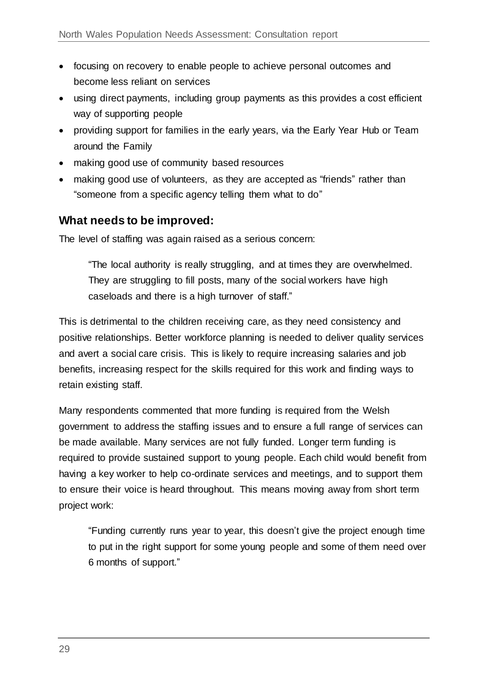- focusing on recovery to enable people to achieve personal outcomes and become less reliant on services
- using direct payments, including group payments as this provides a cost efficient way of supporting people
- providing support for families in the early years, via the Early Year Hub or Team around the Family
- making good use of community based resources
- making good use of volunteers, as they are accepted as "friends" rather than "someone from a specific agency telling them what to do"

#### **What needs to be improved:**

The level of staffing was again raised as a serious concern:

"The local authority is really struggling, and at times they are overwhelmed. They are struggling to fill posts, many of the social workers have high caseloads and there is a high turnover of staff."

This is detrimental to the children receiving care, as they need consistency and positive relationships. Better workforce planning is needed to deliver quality services and avert a social care crisis. This is likely to require increasing salaries and job benefits, increasing respect for the skills required for this work and finding ways to retain existing staff.

Many respondents commented that more funding is required from the Welsh government to address the staffing issues and to ensure a full range of services can be made available. Many services are not fully funded. Longer term funding is required to provide sustained support to young people. Each child would benefit from having a key worker to help co-ordinate services and meetings, and to support them to ensure their voice is heard throughout. This means moving away from short term project work:

"Funding currently runs year to year, this doesn't give the project enough time to put in the right support for some young people and some of them need over 6 months of support."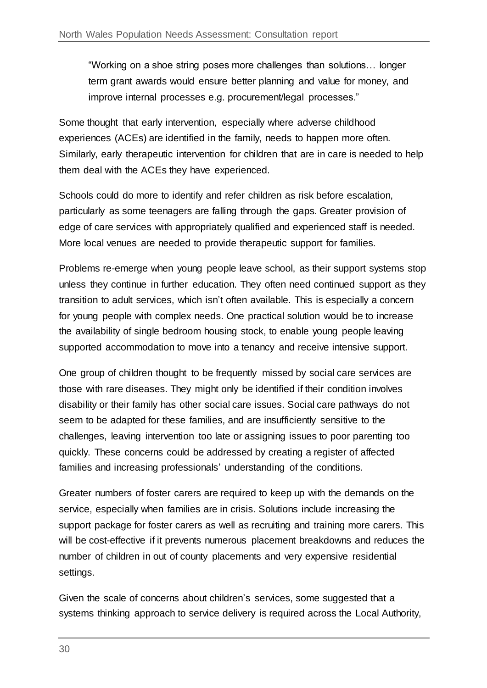"Working on a shoe string poses more challenges than solutions… longer term grant awards would ensure better planning and value for money, and improve internal processes e.g. procurement/legal processes."

Some thought that early intervention, especially where adverse childhood experiences (ACEs) are identified in the family, needs to happen more often. Similarly, early therapeutic intervention for children that are in care is needed to help them deal with the ACEs they have experienced.

Schools could do more to identify and refer children as risk before escalation, particularly as some teenagers are falling through the gaps. Greater provision of edge of care services with appropriately qualified and experienced staff is needed. More local venues are needed to provide therapeutic support for families.

Problems re-emerge when young people leave school, as their support systems stop unless they continue in further education. They often need continued support as they transition to adult services, which isn't often available. This is especially a concern for young people with complex needs. One practical solution would be to increase the availability of single bedroom housing stock, to enable young people leaving supported accommodation to move into a tenancy and receive intensive support.

One group of children thought to be frequently missed by social care services are those with rare diseases. They might only be identified if their condition involves disability or their family has other social care issues. Social care pathways do not seem to be adapted for these families, and are insufficiently sensitive to the challenges, leaving intervention too late or assigning issues to poor parenting too quickly. These concerns could be addressed by creating a register of affected families and increasing professionals' understanding of the conditions.

Greater numbers of foster carers are required to keep up with the demands on the service, especially when families are in crisis. Solutions include increasing the support package for foster carers as well as recruiting and training more carers. This will be cost-effective if it prevents numerous placement breakdowns and reduces the number of children in out of county placements and very expensive residential settings.

Given the scale of concerns about children's services, some suggested that a systems thinking approach to service delivery is required across the Local Authority,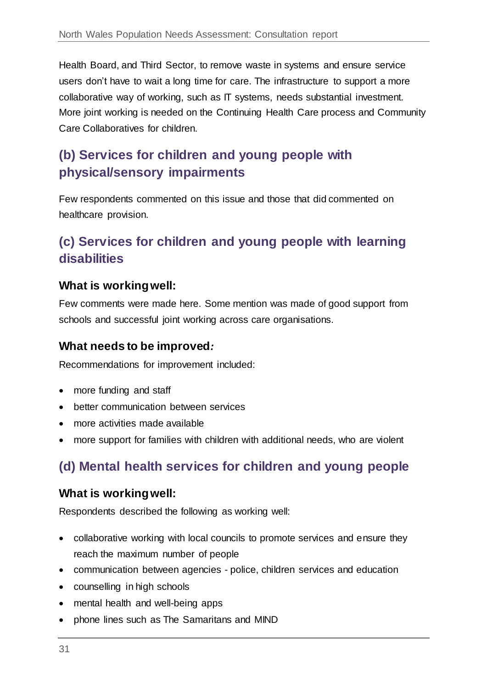Health Board, and Third Sector, to remove waste in systems and ensure service users don't have to wait a long time for care. The infrastructure to support a more collaborative way of working, such as IT systems, needs substantial investment. More joint working is needed on the Continuing Health Care process and Community Care Collaboratives for children.

# **(b) Services for children and young people with physical/sensory impairments**

Few respondents commented on this issue and those that did commented on healthcare provision.

### **(c) Services for children and young people with learning disabilities**

#### **What is working well:**

Few comments were made here. Some mention was made of good support from schools and successful joint working across care organisations.

#### **What needs to be improved***:*

Recommendations for improvement included:

- more funding and staff
- better communication between services
- more activities made available
- more support for families with children with additional needs, who are violent

# **(d) Mental health services for children and young people**

#### **What is working well:**

Respondents described the following as working well:

- collaborative working with local councils to promote services and ensure they reach the maximum number of people
- communication between agencies police, children services and education
- counselling in high schools
- mental health and well-being apps
- phone lines such as The Samaritans and MIND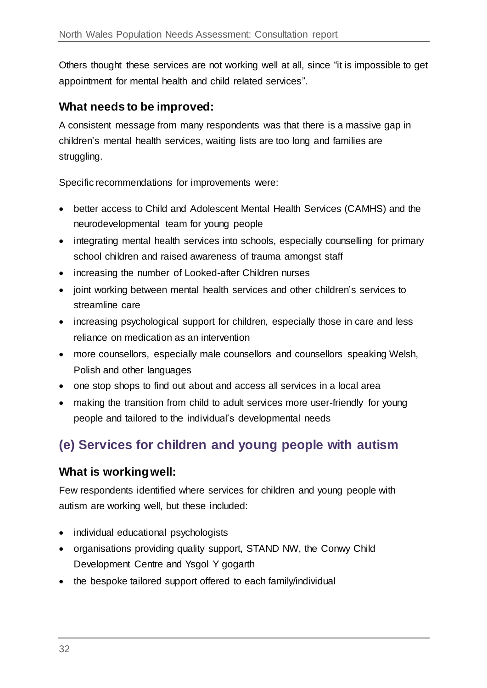Others thought these services are not working well at all, since "it is impossible to get appointment for mental health and child related services".

#### **What needs to be improved:**

A consistent message from many respondents was that there is a massive gap in children's mental health services, waiting lists are too long and families are struggling.

Specific recommendations for improvements were:

- better access to Child and Adolescent Mental Health Services (CAMHS) and the neurodevelopmental team for young people
- integrating mental health services into schools, especially counselling for primary school children and raised awareness of trauma amongst staff
- increasing the number of Looked-after Children nurses
- joint working between mental health services and other children's services to streamline care
- increasing psychological support for children, especially those in care and less reliance on medication as an intervention
- more counsellors, especially male counsellors and counsellors speaking Welsh, Polish and other languages
- one stop shops to find out about and access all services in a local area
- making the transition from child to adult services more user-friendly for young people and tailored to the individual's developmental needs

# **(e) Services for children and young people with autism**

#### **What is working well:**

Few respondents identified where services for children and young people with autism are working well, but these included:

- individual educational psychologists
- organisations providing quality support, STAND NW, the Conwy Child Development Centre and Ysgol Y gogarth
- the bespoke tailored support offered to each family/individual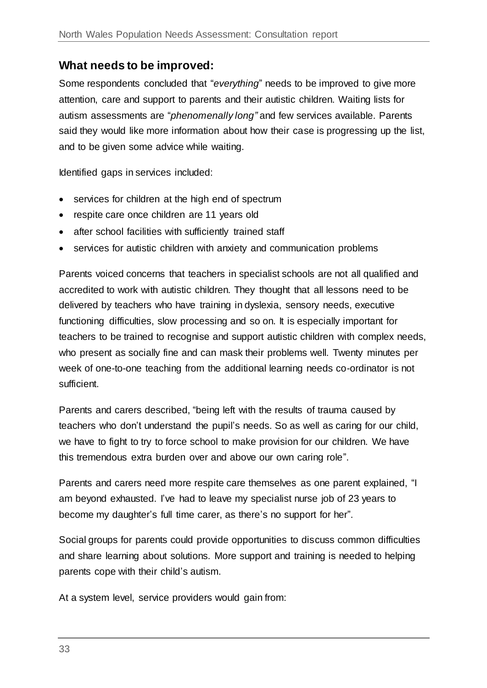#### **What needs to be improved:**

Some respondents concluded that "*everything*" needs to be improved to give more attention, care and support to parents and their autistic children. Waiting lists for autism assessments are "*phenomenally long"* and few services available. Parents said they would like more information about how their case is progressing up the list, and to be given some advice while waiting.

Identified gaps in services included:

- services for children at the high end of spectrum
- respite care once children are 11 years old
- after school facilities with sufficiently trained staff
- services for autistic children with anxiety and communication problems

Parents voiced concerns that teachers in specialist schools are not all qualified and accredited to work with autistic children. They thought that all lessons need to be delivered by teachers who have training in dyslexia, sensory needs, executive functioning difficulties, slow processing and so on. It is especially important for teachers to be trained to recognise and support autistic children with complex needs, who present as socially fine and can mask their problems well. Twenty minutes per week of one-to-one teaching from the additional learning needs co-ordinator is not sufficient.

Parents and carers described, "being left with the results of trauma caused by teachers who don't understand the pupil's needs. So as well as caring for our child, we have to fight to try to force school to make provision for our children. We have this tremendous extra burden over and above our own caring role".

Parents and carers need more respite care themselves as one parent explained, "I am beyond exhausted. I've had to leave my specialist nurse job of 23 years to become my daughter's full time carer, as there's no support for her".

Social groups for parents could provide opportunities to discuss common difficulties and share learning about solutions. More support and training is needed to helping parents cope with their child's autism.

At a system level, service providers would gain from: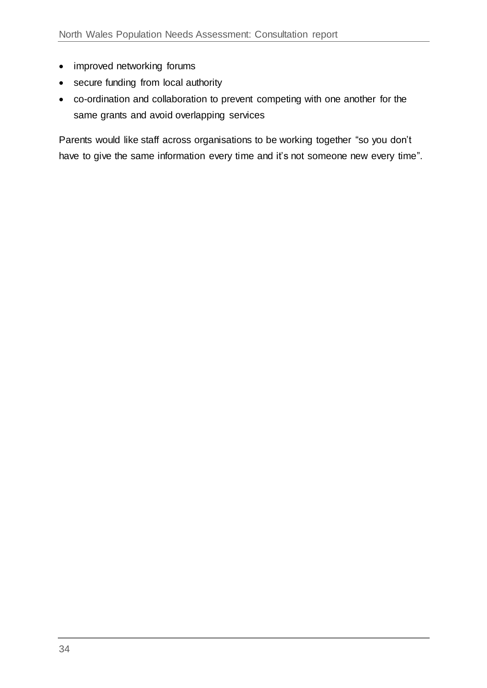- improved networking forums
- secure funding from local authority
- co-ordination and collaboration to prevent competing with one another for the same grants and avoid overlapping services

Parents would like staff across organisations to be working together "so you don't have to give the same information every time and it's not someone new every time".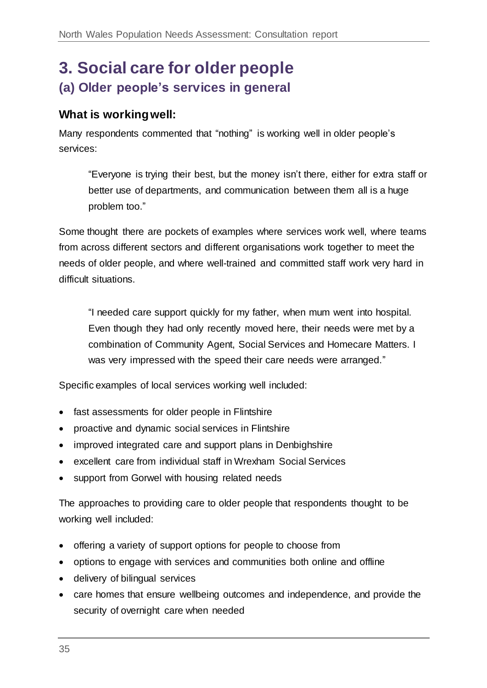# <span id="page-34-0"></span>**3. Social care for older people (a) Older people's services in general**

#### **What is working well:**

Many respondents commented that "nothing" is working well in older people's services:

"Everyone is trying their best, but the money isn't there, either for extra staff or better use of departments, and communication between them all is a huge problem too."

Some thought there are pockets of examples where services work well, where teams from across different sectors and different organisations work together to meet the needs of older people, and where well-trained and committed staff work very hard in difficult situations.

"I needed care support quickly for my father, when mum went into hospital. Even though they had only recently moved here, their needs were met by a combination of Community Agent, Social Services and Homecare Matters. I was very impressed with the speed their care needs were arranged."

Specific examples of local services working well included:

- fast assessments for older people in Flintshire
- proactive and dynamic social services in Flintshire
- improved integrated care and support plans in Denbighshire
- excellent care from individual staff in Wrexham Social Services
- support from Gorwel with housing related needs

The approaches to providing care to older people that respondents thought to be working well included:

- offering a variety of support options for people to choose from
- options to engage with services and communities both online and offline
- delivery of bilingual services
- care homes that ensure wellbeing outcomes and independence, and provide the security of overnight care when needed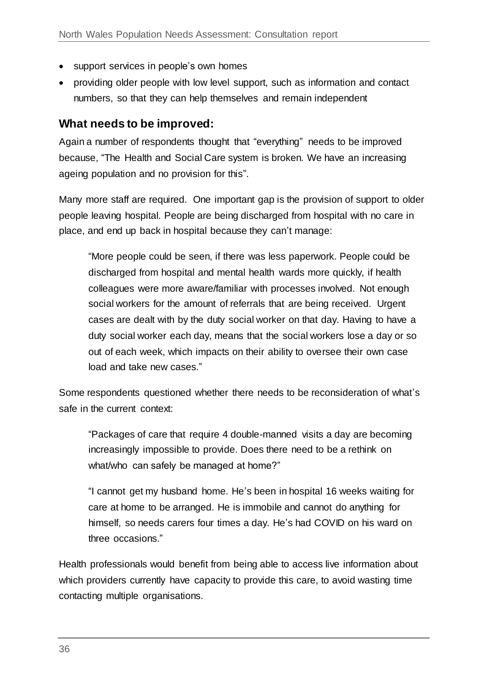- support services in people's own homes
- providing older people with low level support, such as information and contact numbers, so that they can help themselves and remain independent

#### **What needs to be improved:**

Again a number of respondents thought that "everything" needs to be improved because, "The Health and Social Care system is broken. We have an increasing ageing population and no provision for this".

Many more staff are required. One important gap is the provision of support to older people leaving hospital. People are being discharged from hospital with no care in place, and end up back in hospital because they can't manage:

"More people could be seen, if there was less paperwork. People could be discharged from hospital and mental health wards more quickly, if health colleagues were more aware/familiar with processes involved. Not enough social workers for the amount of referrals that are being received. Urgent cases are dealt with by the duty social worker on that day. Having to have a duty social worker each day, means that the social workers lose a day or so out of each week, which impacts on their ability to oversee their own case load and take new cases."

Some respondents questioned whether there needs to be reconsideration of what's safe in the current context:

"Packages of care that require 4 double-manned visits a day are becoming increasingly impossible to provide. Does there need to be a rethink on what/who can safely be managed at home?"

"I cannot get my husband home. He's been in hospital 16 weeks waiting for care at home to be arranged. He is immobile and cannot do anything for himself, so needs carers four times a day. He's had COVID on his ward on three occasions."

Health professionals would benefit from being able to access live information about which providers currently have capacity to provide this care, to avoid wasting time contacting multiple organisations.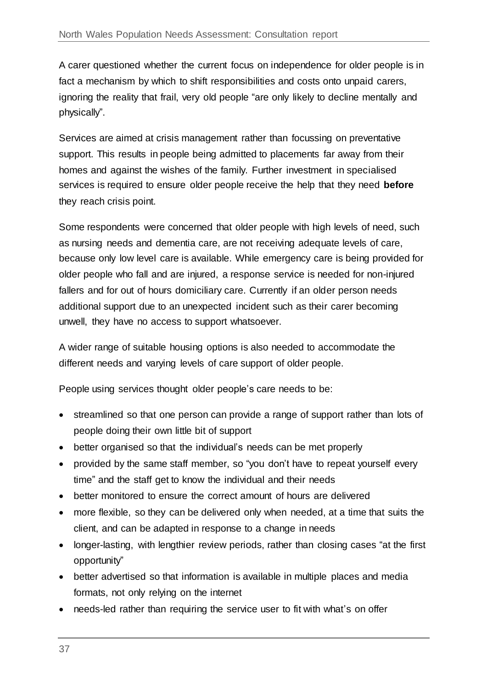A carer questioned whether the current focus on independence for older people is in fact a mechanism by which to shift responsibilities and costs onto unpaid carers, ignoring the reality that frail, very old people "are only likely to decline mentally and physically".

Services are aimed at crisis management rather than focussing on preventative support. This results in people being admitted to placements far away from their homes and against the wishes of the family. Further investment in specialised services is required to ensure older people receive the help that they need **before**  they reach crisis point.

Some respondents were concerned that older people with high levels of need, such as nursing needs and dementia care, are not receiving adequate levels of care, because only low level care is available. While emergency care is being provided for older people who fall and are injured, a response service is needed for non-injured fallers and for out of hours domiciliary care. Currently if an older person needs additional support due to an unexpected incident such as their carer becoming unwell, they have no access to support whatsoever.

A wider range of suitable housing options is also needed to accommodate the different needs and varying levels of care support of older people.

People using services thought older people's care needs to be:

- streamlined so that one person can provide a range of support rather than lots of people doing their own little bit of support
- better organised so that the individual's needs can be met properly
- provided by the same staff member, so "you don't have to repeat yourself every time" and the staff get to know the individual and their needs
- better monitored to ensure the correct amount of hours are delivered
- more flexible, so they can be delivered only when needed, at a time that suits the client, and can be adapted in response to a change in needs
- longer-lasting, with lengthier review periods, rather than closing cases "at the first opportunity"
- better advertised so that information is available in multiple places and media formats, not only relying on the internet
- needs-led rather than requiring the service user to fit with what's on offer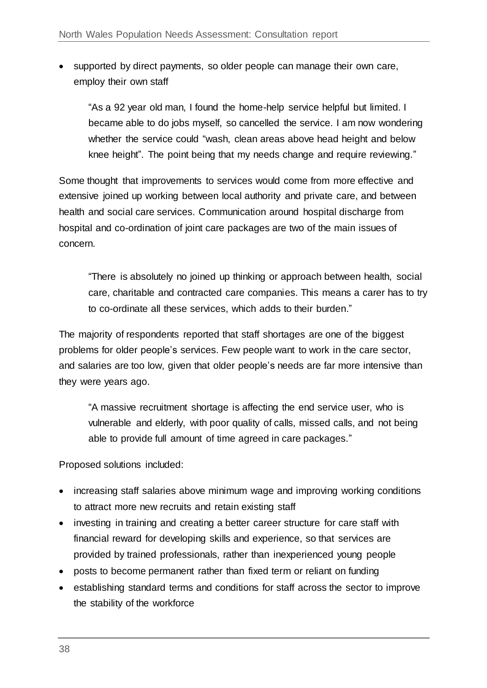• supported by direct payments, so older people can manage their own care, employ their own staff

"As a 92 year old man, I found the home-help service helpful but limited. I became able to do jobs myself, so cancelled the service. I am now wondering whether the service could "wash, clean areas above head height and below knee height". The point being that my needs change and require reviewing."

Some thought that improvements to services would come from more effective and extensive joined up working between local authority and private care, and between health and social care services. Communication around hospital discharge from hospital and co-ordination of joint care packages are two of the main issues of concern.

"There is absolutely no joined up thinking or approach between health, social care, charitable and contracted care companies. This means a carer has to try to co-ordinate all these services, which adds to their burden."

The majority of respondents reported that staff shortages are one of the biggest problems for older people's services. Few people want to work in the care sector, and salaries are too low, given that older people's needs are far more intensive than they were years ago.

"A massive recruitment shortage is affecting the end service user, who is vulnerable and elderly, with poor quality of calls, missed calls, and not being able to provide full amount of time agreed in care packages."

Proposed solutions included:

- increasing staff salaries above minimum wage and improving working conditions to attract more new recruits and retain existing staff
- investing in training and creating a better career structure for care staff with financial reward for developing skills and experience, so that services are provided by trained professionals, rather than inexperienced young people
- posts to become permanent rather than fixed term or reliant on funding
- establishing standard terms and conditions for staff across the sector to improve the stability of the workforce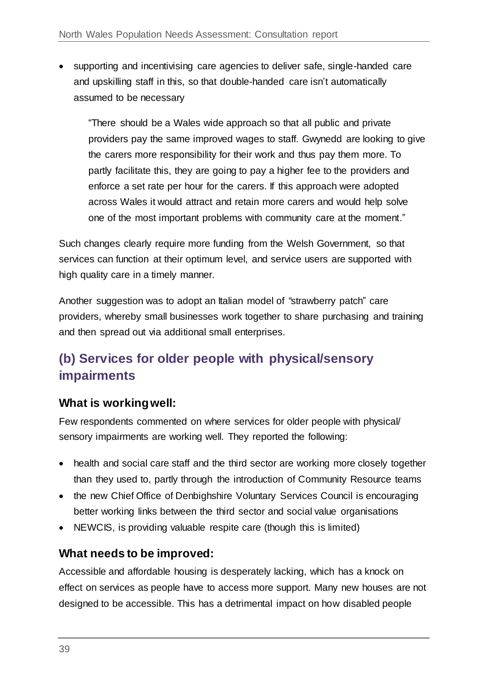supporting and incentivising care agencies to deliver safe, single-handed care and upskilling staff in this, so that double-handed care isn't automatically assumed to be necessary

"There should be a Wales wide approach so that all public and private providers pay the same improved wages to staff. Gwynedd are looking to give the carers more responsibility for their work and thus pay them more. To partly facilitate this, they are going to pay a higher fee to the providers and enforce a set rate per hour for the carers. If this approach were adopted across Wales it would attract and retain more carers and would help solve one of the most important problems with community care at the moment."

Such changes clearly require more funding from the Welsh Government, so that services can function at their optimum level, and service users are supported with high quality care in a timely manner.

Another suggestion was to adopt an Italian model of *"*strawberry patch" care providers, whereby small businesses work together to share purchasing and training and then spread out via additional small enterprises.

# **(b) Services for older people with physical/sensory impairments**

#### **What is working well:**

Few respondents commented on where services for older people with physical/ sensory impairments are working well. They reported the following:

- health and social care staff and the third sector are working more closely together than they used to, partly through the introduction of Community Resource teams
- the new Chief Office of Denbighshire Voluntary Services Council is encouraging better working links between the third sector and social value organisations
- NEWCIS, is providing valuable respite care (though this is limited)

#### **What needs to be improved:**

Accessible and affordable housing is desperately lacking, which has a knock on effect on services as people have to access more support. Many new houses are not designed to be accessible. This has a detrimental impact on how disabled people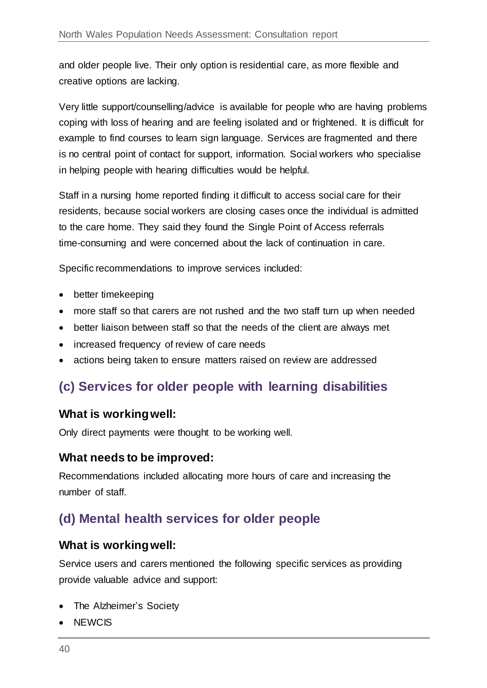and older people live. Their only option is residential care, as more flexible and creative options are lacking.

Very little support/counselling/advice is available for people who are having problems coping with loss of hearing and are feeling isolated and or frightened. It is difficult for example to find courses to learn sign language. Services are fragmented and there is no central point of contact for support, information. Social workers who specialise in helping people with hearing difficulties would be helpful.

Staff in a nursing home reported finding it difficult to access social care for their residents, because social workers are closing cases once the individual is admitted to the care home. They said they found the Single Point of Access referrals time-consuming and were concerned about the lack of continuation in care.

Specific recommendations to improve services included:

- better timekeeping
- more staff so that carers are not rushed and the two staff turn up when needed
- better liaison between staff so that the needs of the client are always met
- increased frequency of review of care needs
- actions being taken to ensure matters raised on review are addressed

# **(c) Services for older people with learning disabilities**

#### **What is working well:**

Only direct payments were thought to be working well.

#### **What needs to be improved:**

Recommendations included allocating more hours of care and increasing the number of staff.

### **(d) Mental health services for older people**

#### **What is working well:**

Service users and carers mentioned the following specific services as providing provide valuable advice and support:

- The Alzheimer's Society
- NEWCIS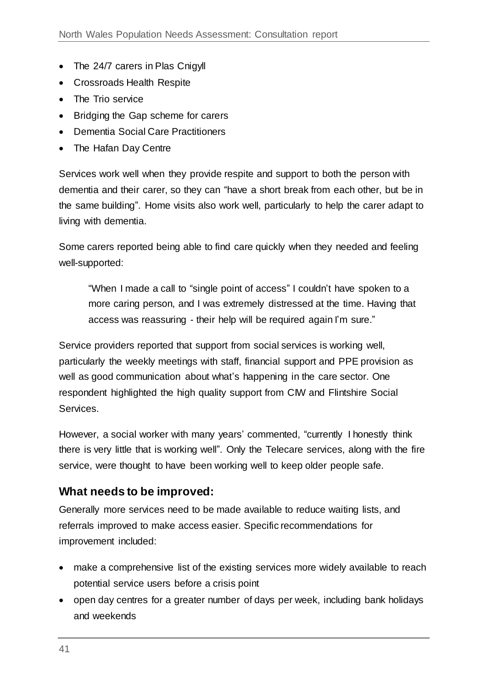- The 24/7 carers in Plas Cnigyll
- Crossroads Health Respite
- The Trio service
- Bridging the Gap scheme for carers
- Dementia Social Care Practitioners
- The Hafan Day Centre

Services work well when they provide respite and support to both the person with dementia and their carer, so they can "have a short break from each other, but be in the same building". Home visits also work well, particularly to help the carer adapt to living with dementia.

Some carers reported being able to find care quickly when they needed and feeling well-supported:

"When I made a call to "single point of access" I couldn't have spoken to a more caring person, and I was extremely distressed at the time. Having that access was reassuring - their help will be required again I'm sure."

Service providers reported that support from social services is working well, particularly the weekly meetings with staff, financial support and PPE provision as well as good communication about what's happening in the care sector. One respondent highlighted the high quality support from CIW and Flintshire Social Services.

However, a social worker with many years' commented, "currently I honestly think there is very little that is working well". Only the Telecare services, along with the fire service, were thought to have been working well to keep older people safe.

#### **What needs to be improved:**

Generally more services need to be made available to reduce waiting lists, and referrals improved to make access easier. Specific recommendations for improvement included:

- make a comprehensive list of the existing services more widely available to reach potential service users before a crisis point
- open day centres for a greater number of days per week, including bank holidays and weekends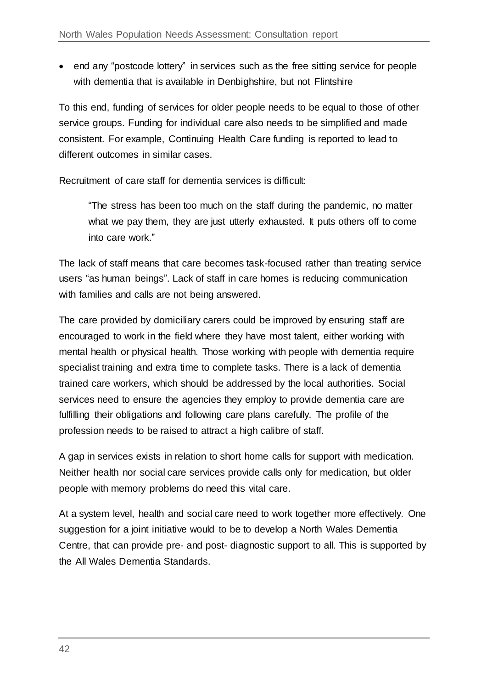• end any "postcode lottery" in services such as the free sitting service for people with dementia that is available in Denbighshire, but not Flintshire

To this end, funding of services for older people needs to be equal to those of other service groups. Funding for individual care also needs to be simplified and made consistent. For example, Continuing Health Care funding is reported to lead to different outcomes in similar cases.

Recruitment of care staff for dementia services is difficult:

"The stress has been too much on the staff during the pandemic, no matter what we pay them, they are just utterly exhausted. It puts others off to come into care work."

The lack of staff means that care becomes task-focused rather than treating service users "as human beings". Lack of staff in care homes is reducing communication with families and calls are not being answered.

The care provided by domiciliary carers could be improved by ensuring staff are encouraged to work in the field where they have most talent, either working with mental health or physical health. Those working with people with dementia require specialist training and extra time to complete tasks. There is a lack of dementia trained care workers, which should be addressed by the local authorities. Social services need to ensure the agencies they employ to provide dementia care are fulfilling their obligations and following care plans carefully. The profile of the profession needs to be raised to attract a high calibre of staff.

A gap in services exists in relation to short home calls for support with medication. Neither health nor social care services provide calls only for medication, but older people with memory problems do need this vital care.

At a system level, health and social care need to work together more effectively. One suggestion for a joint initiative would to be to develop a North Wales Dementia Centre, that can provide pre- and post- diagnostic support to all. This is supported by the All Wales Dementia Standards.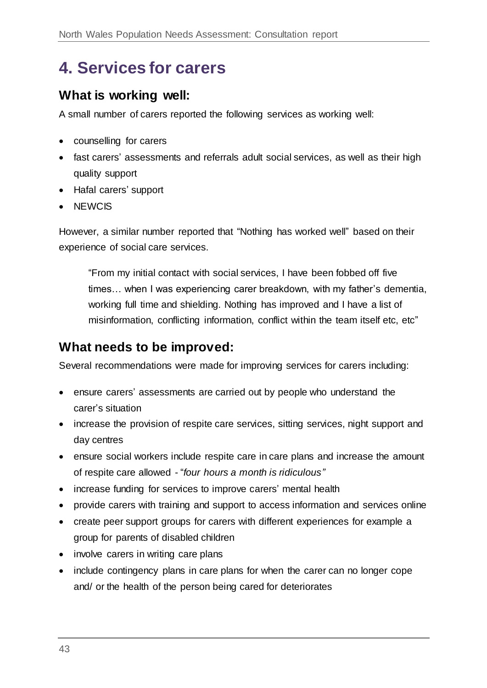# <span id="page-42-0"></span>**4. Services for carers**

### **What is working well:**

A small number of carers reported the following services as working well:

- counselling for carers
- fast carers' assessments and referrals adult social services, as well as their high quality support
- Hafal carers' support
- NEWCIS

However, a similar number reported that "Nothing has worked well" based on their experience of social care services.

"From my initial contact with social services, I have been fobbed off five times… when I was experiencing carer breakdown, with my father's dementia, working full time and shielding. Nothing has improved and I have a list of misinformation, conflicting information, conflict within the team itself etc, etc"

### **What needs to be improved:**

Several recommendations were made for improving services for carers including:

- ensure carers' assessments are carried out by people who understand the carer's situation
- increase the provision of respite care services, sitting services, night support and day centres
- ensure social workers include respite care in care plans and increase the amount of respite care allowed - "*four hours a month is ridiculous"*
- increase funding for services to improve carers' mental health
- provide carers with training and support to access information and services online
- create peer support groups for carers with different experiences for example a group for parents of disabled children
- involve carers in writing care plans
- include contingency plans in care plans for when the carer can no longer cope and/ or the health of the person being cared for deteriorates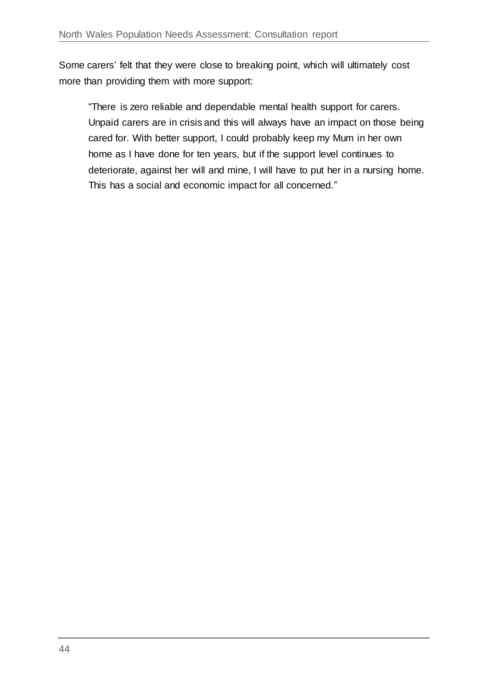Some carers' felt that they were close to breaking point, which will ultimately cost more than providing them with more support:

"There is zero reliable and dependable mental health support for carers. Unpaid carers are in crisis and this will always have an impact on those being cared for. With better support, I could probably keep my Mum in her own home as I have done for ten years, but if the support level continues to deteriorate, against her will and mine, I will have to put her in a nursing home. This has a social and economic impact for all concerned."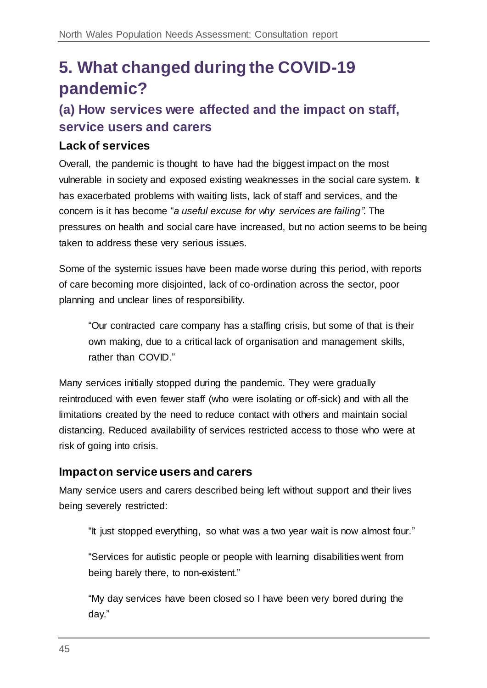# <span id="page-44-0"></span>**5. What changed during the COVID-19 pandemic?**

# **(a) How services were affected and the impact on staff, service users and carers**

#### **Lack of services**

Overall, the pandemic is thought to have had the biggest impact on the most vulnerable in society and exposed existing weaknesses in the social care system. It has exacerbated problems with waiting lists, lack of staff and services, and the concern is it has become "*a useful excuse for why services are failing"*. The pressures on health and social care have increased, but no action seems to be being taken to address these very serious issues.

Some of the systemic issues have been made worse during this period, with reports of care becoming more disjointed, lack of co-ordination across the sector, poor planning and unclear lines of responsibility.

"Our contracted care company has a staffing crisis, but some of that is their own making, due to a critical lack of organisation and management skills, rather than COVID."

Many services initially stopped during the pandemic. They were gradually reintroduced with even fewer staff (who were isolating or off-sick) and with all the limitations created by the need to reduce contact with others and maintain social distancing. Reduced availability of services restricted access to those who were at risk of going into crisis.

#### **Impact on service users and carers**

Many service users and carers described being left without support and their lives being severely restricted:

"It just stopped everything, so what was a two year wait is now almost four."

"Services for autistic people or people with learning disabilities went from being barely there, to non-existent."

"My day services have been closed so I have been very bored during the day."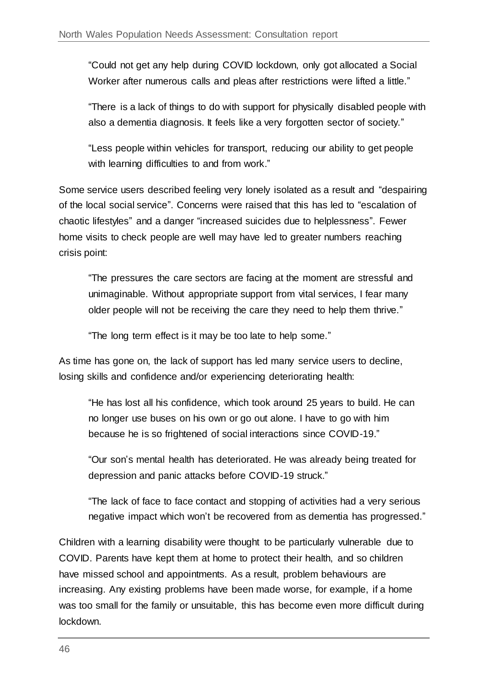"Could not get any help during COVID lockdown, only got allocated a Social Worker after numerous calls and pleas after restrictions were lifted a little."

"There is a lack of things to do with support for physically disabled people with also a dementia diagnosis. It feels like a very forgotten sector of society."

"Less people within vehicles for transport, reducing our ability to get people with learning difficulties to and from work."

Some service users described feeling very lonely isolated as a result and "despairing of the local social service". Concerns were raised that this has led to "escalation of chaotic lifestyles" and a danger "increased suicides due to helplessness". Fewer home visits to check people are well may have led to greater numbers reaching crisis point:

"The pressures the care sectors are facing at the moment are stressful and unimaginable. Without appropriate support from vital services, I fear many older people will not be receiving the care they need to help them thrive."

"The long term effect is it may be too late to help some."

As time has gone on, the lack of support has led many service users to decline, losing skills and confidence and/or experiencing deteriorating health:

"He has lost all his confidence, which took around 25 years to build. He can no longer use buses on his own or go out alone. I have to go with him because he is so frightened of social interactions since COVID-19."

"Our son's mental health has deteriorated. He was already being treated for depression and panic attacks before COVID-19 struck."

"The lack of face to face contact and stopping of activities had a very serious negative impact which won't be recovered from as dementia has progressed."

Children with a learning disability were thought to be particularly vulnerable due to COVID. Parents have kept them at home to protect their health, and so children have missed school and appointments. As a result, problem behaviours are increasing. Any existing problems have been made worse, for example, if a home was too small for the family or unsuitable, this has become even more difficult during lockdown.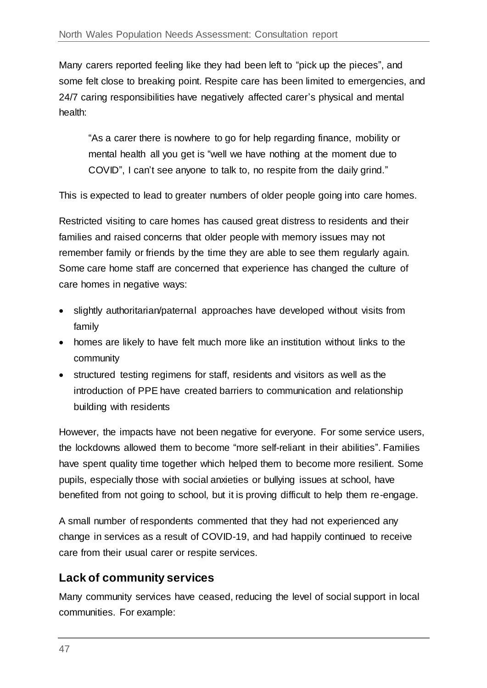Many carers reported feeling like they had been left to "pick up the pieces", and some felt close to breaking point. Respite care has been limited to emergencies, and 24/7 caring responsibilities have negatively affected carer's physical and mental health:

"As a carer there is nowhere to go for help regarding finance, mobility or mental health all you get is "well we have nothing at the moment due to COVID", I can't see anyone to talk to, no respite from the daily grind."

This is expected to lead to greater numbers of older people going into care homes.

Restricted visiting to care homes has caused great distress to residents and their families and raised concerns that older people with memory issues may not remember family or friends by the time they are able to see them regularly again. Some care home staff are concerned that experience has changed the culture of care homes in negative ways:

- slightly authoritarian/paternal approaches have developed without visits from family
- homes are likely to have felt much more like an institution without links to the community
- structured testing regimens for staff, residents and visitors as well as the introduction of PPE have created barriers to communication and relationship building with residents

However, the impacts have not been negative for everyone. For some service users, the lockdowns allowed them to become "more self-reliant in their abilities". Families have spent quality time together which helped them to become more resilient. Some pupils, especially those with social anxieties or bullying issues at school, have benefited from not going to school, but it is proving difficult to help them re-engage.

A small number of respondents commented that they had not experienced any change in services as a result of COVID-19, and had happily continued to receive care from their usual carer or respite services.

#### **Lack of community services**

Many community services have ceased, reducing the level of social support in local communities. For example: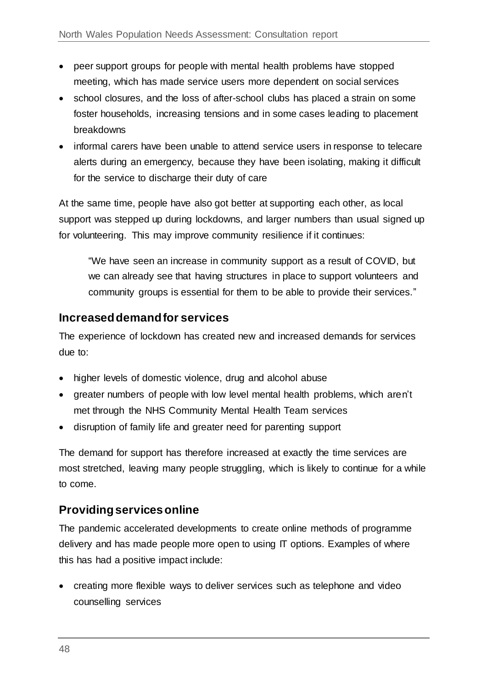- peer support groups for people with mental health problems have stopped meeting, which has made service users more dependent on social services
- school closures, and the loss of after-school clubs has placed a strain on some foster households, increasing tensions and in some cases leading to placement breakdowns
- informal carers have been unable to attend service users in response to telecare alerts during an emergency, because they have been isolating, making it difficult for the service to discharge their duty of care

At the same time, people have also got better at supporting each other, as local support was stepped up during lockdowns, and larger numbers than usual signed up for volunteering. This may improve community resilience if it continues:

"We have seen an increase in community support as a result of COVID, but we can already see that having structures in place to support volunteers and community groups is essential for them to be able to provide their services."

#### **Increased demand for services**

The experience of lockdown has created new and increased demands for services due to:

- higher levels of domestic violence, drug and alcohol abuse
- greater numbers of people with low level mental health problems, which aren't met through the NHS Community Mental Health Team services
- disruption of family life and greater need for parenting support

The demand for support has therefore increased at exactly the time services are most stretched, leaving many people struggling, which is likely to continue for a while to come.

#### **Providing services online**

The pandemic accelerated developments to create online methods of programme delivery and has made people more open to using IT options. Examples of where this has had a positive impact include:

 creating more flexible ways to deliver services such as telephone and video counselling services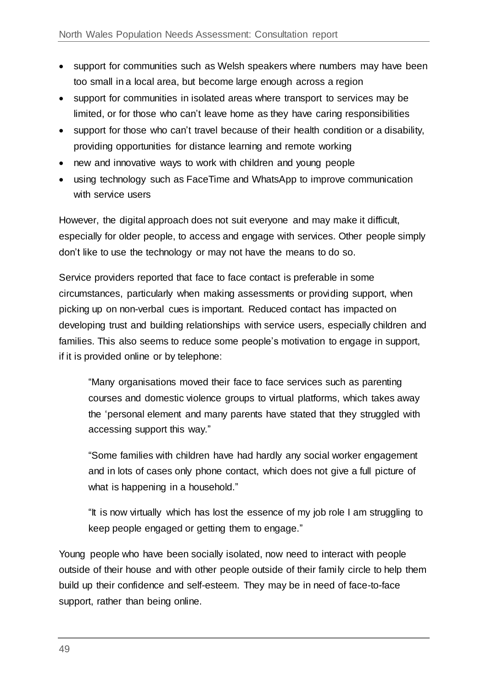- support for communities such as Welsh speakers where numbers may have been too small in a local area, but become large enough across a region
- support for communities in isolated areas where transport to services may be limited, or for those who can't leave home as they have caring responsibilities
- support for those who can't travel because of their health condition or a disability, providing opportunities for distance learning and remote working
- new and innovative ways to work with children and young people
- using technology such as FaceTime and WhatsApp to improve communication with service users

However, the digital approach does not suit everyone and may make it difficult, especially for older people, to access and engage with services. Other people simply don't like to use the technology or may not have the means to do so.

Service providers reported that face to face contact is preferable in some circumstances, particularly when making assessments or providing support, when picking up on non-verbal cues is important. Reduced contact has impacted on developing trust and building relationships with service users, especially children and families. This also seems to reduce some people's motivation to engage in support, if it is provided online or by telephone:

"Many organisations moved their face to face services such as parenting courses and domestic violence groups to virtual platforms, which takes away the 'personal element and many parents have stated that they struggled with accessing support this way."

"Some families with children have had hardly any social worker engagement and in lots of cases only phone contact, which does not give a full picture of what is happening in a household."

"It is now virtually which has lost the essence of my job role I am struggling to keep people engaged or getting them to engage."

Young people who have been socially isolated, now need to interact with people outside of their house and with other people outside of their family circle to help them build up their confidence and self-esteem. They may be in need of face-to-face support, rather than being online.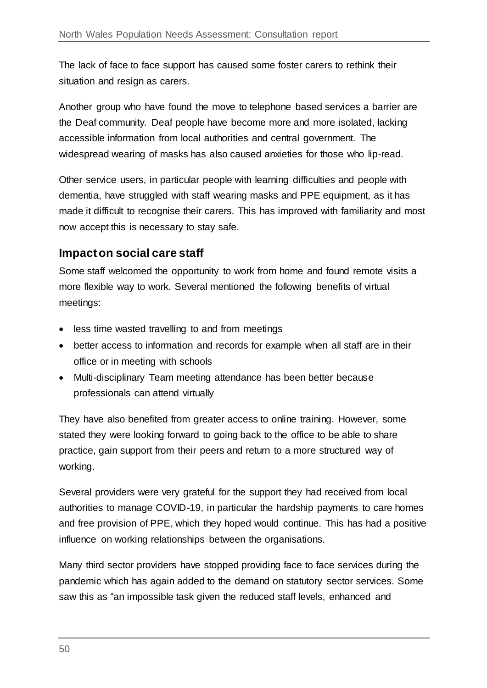The lack of face to face support has caused some foster carers to rethink their situation and resign as carers.

Another group who have found the move to telephone based services a barrier are the Deaf community. Deaf people have become more and more isolated, lacking accessible information from local authorities and central government. The widespread wearing of masks has also caused anxieties for those who lip-read.

Other service users, in particular people with learning difficulties and people with dementia, have struggled with staff wearing masks and PPE equipment, as it has made it difficult to recognise their carers. This has improved with familiarity and most now accept this is necessary to stay safe.

#### **Impact on social care staff**

Some staff welcomed the opportunity to work from home and found remote visits a more flexible way to work. Several mentioned the following benefits of virtual meetings:

- less time wasted travelling to and from meetings
- better access to information and records for example when all staff are in their office or in meeting with schools
- Multi-disciplinary Team meeting attendance has been better because professionals can attend virtually

They have also benefited from greater access to online training. However, some stated they were looking forward to going back to the office to be able to share practice, gain support from their peers and return to a more structured way of working.

Several providers were very grateful for the support they had received from local authorities to manage COVID-19, in particular the hardship payments to care homes and free provision of PPE, which they hoped would continue. This has had a positive influence on working relationships between the organisations.

Many third sector providers have stopped providing face to face services during the pandemic which has again added to the demand on statutory sector services. Some saw this as "an impossible task given the reduced staff levels, enhanced and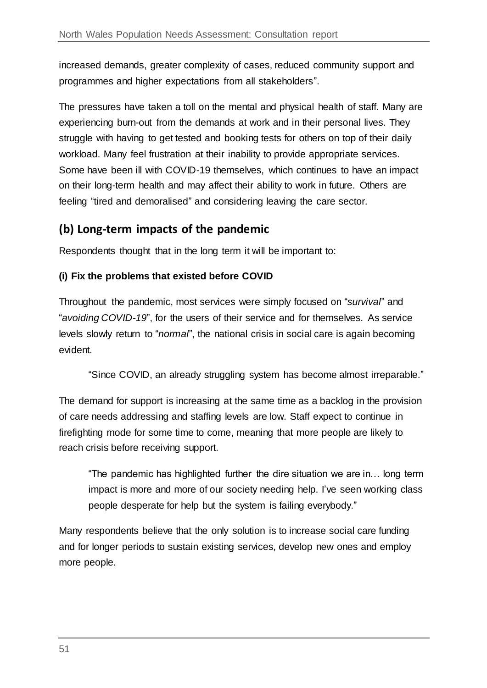increased demands, greater complexity of cases, reduced community support and programmes and higher expectations from all stakeholders".

The pressures have taken a toll on the mental and physical health of staff. Many are experiencing burn-out from the demands at work and in their personal lives. They struggle with having to get tested and booking tests for others on top of their daily workload. Many feel frustration at their inability to provide appropriate services. Some have been ill with COVID-19 themselves, which continues to have an impact on their long-term health and may affect their ability to work in future. Others are feeling "tired and demoralised" and considering leaving the care sector.

#### **(b) Long-term impacts of the pandemic**

Respondents thought that in the long term it will be important to:

#### **(i) Fix the problems that existed before COVID**

Throughout the pandemic, most services were simply focused on "*survival*" and "*avoiding COVID-19*", for the users of their service and for themselves. As service levels slowly return to "*normal*", the national crisis in social care is again becoming evident.

"Since COVID, an already struggling system has become almost irreparable."

The demand for support is increasing at the same time as a backlog in the provision of care needs addressing and staffing levels are low. Staff expect to continue in firefighting mode for some time to come, meaning that more people are likely to reach crisis before receiving support.

"The pandemic has highlighted further the dire situation we are in… long term impact is more and more of our society needing help. I've seen working class people desperate for help but the system is failing everybody."

Many respondents believe that the only solution is to increase social care funding and for longer periods to sustain existing services, develop new ones and employ more people.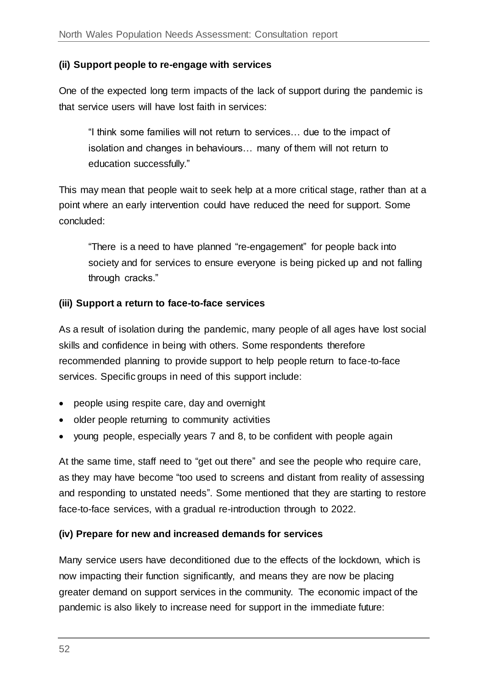#### **(ii) Support people to re-engage with services**

One of the expected long term impacts of the lack of support during the pandemic is that service users will have lost faith in services:

"I think some families will not return to services… due to the impact of isolation and changes in behaviours… many of them will not return to education successfully."

This may mean that people wait to seek help at a more critical stage, rather than at a point where an early intervention could have reduced the need for support. Some concluded:

"There is a need to have planned "re-engagement" for people back into society and for services to ensure everyone is being picked up and not falling through cracks."

#### **(iii) Support a return to face-to-face services**

As a result of isolation during the pandemic, many people of all ages have lost social skills and confidence in being with others. Some respondents therefore recommended planning to provide support to help people return to face-to-face services. Specific groups in need of this support include:

- people using respite care, day and overnight
- older people returning to community activities
- young people, especially years 7 and 8, to be confident with people again

At the same time, staff need to "get out there" and see the people who require care, as they may have become "too used to screens and distant from reality of assessing and responding to unstated needs". Some mentioned that they are starting to restore face-to-face services, with a gradual re-introduction through to 2022.

#### **(iv) Prepare for new and increased demands for services**

Many service users have deconditioned due to the effects of the lockdown, which is now impacting their function significantly, and means they are now be placing greater demand on support services in the community. The economic impact of the pandemic is also likely to increase need for support in the immediate future: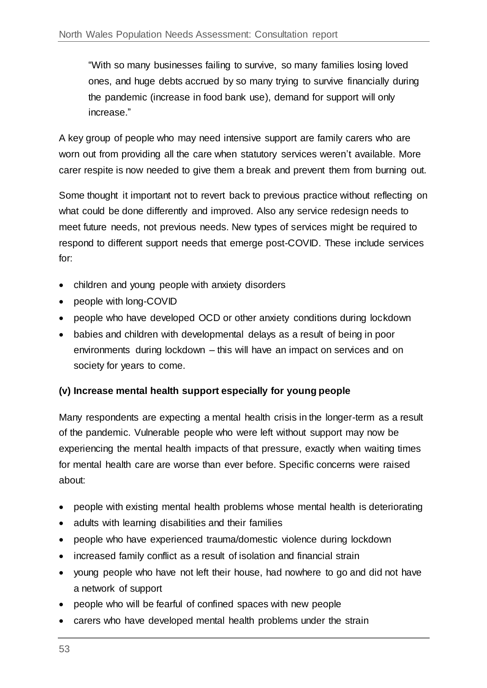"With so many businesses failing to survive, so many families losing loved ones, and huge debts accrued by so many trying to survive financially during the pandemic (increase in food bank use), demand for support will only increase."

A key group of people who may need intensive support are family carers who are worn out from providing all the care when statutory services weren't available. More carer respite is now needed to give them a break and prevent them from burning out.

Some thought it important not to revert back to previous practice without reflecting on what could be done differently and improved. Also any service redesign needs to meet future needs, not previous needs. New types of services might be required to respond to different support needs that emerge post-COVID. These include services for:

- children and young people with anxiety disorders
- people with long-COVID
- people who have developed OCD or other anxiety conditions during lockdown
- babies and children with developmental delays as a result of being in poor environments during lockdown – this will have an impact on services and on society for years to come.

#### **(v) Increase mental health support especially for young people**

Many respondents are expecting a mental health crisis in the longer-term as a result of the pandemic. Vulnerable people who were left without support may now be experiencing the mental health impacts of that pressure, exactly when waiting times for mental health care are worse than ever before. Specific concerns were raised about:

- people with existing mental health problems whose mental health is deteriorating
- adults with learning disabilities and their families
- people who have experienced trauma/domestic violence during lockdown
- increased family conflict as a result of isolation and financial strain
- young people who have not left their house, had nowhere to go and did not have a network of support
- people who will be fearful of confined spaces with new people
- carers who have developed mental health problems under the strain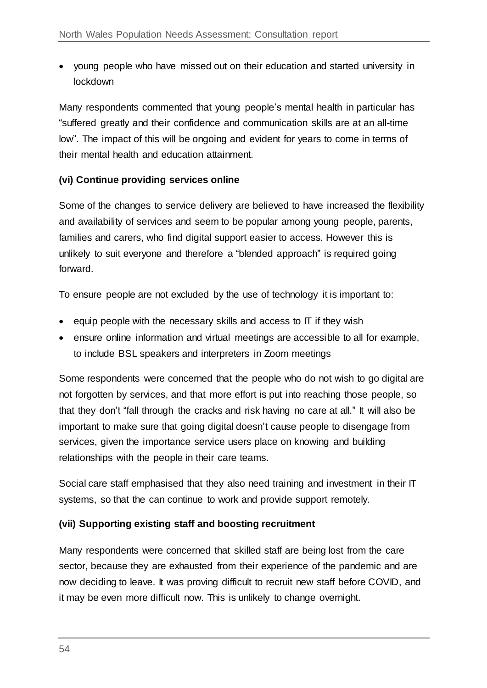young people who have missed out on their education and started university in lockdown

Many respondents commented that young people's mental health in particular has "suffered greatly and their confidence and communication skills are at an all-time low". The impact of this will be ongoing and evident for years to come in terms of their mental health and education attainment.

#### **(vi) Continue providing services online**

Some of the changes to service delivery are believed to have increased the flexibility and availability of services and seem to be popular among young people, parents, families and carers, who find digital support easier to access. However this is unlikely to suit everyone and therefore a "blended approach" is required going forward.

To ensure people are not excluded by the use of technology it is important to:

- $\bullet$  equip people with the necessary skills and access to IT if they wish
- ensure online information and virtual meetings are accessible to all for example, to include BSL speakers and interpreters in Zoom meetings

Some respondents were concerned that the people who do not wish to go digital are not forgotten by services, and that more effort is put into reaching those people, so that they don't "fall through the cracks and risk having no care at all." It will also be important to make sure that going digital doesn't cause people to disengage from services, given the importance service users place on knowing and building relationships with the people in their care teams.

Social care staff emphasised that they also need training and investment in their IT systems, so that the can continue to work and provide support remotely.

#### **(vii) Supporting existing staff and boosting recruitment**

Many respondents were concerned that skilled staff are being lost from the care sector, because they are exhausted from their experience of the pandemic and are now deciding to leave. It was proving difficult to recruit new staff before COVID, and it may be even more difficult now. This is unlikely to change overnight.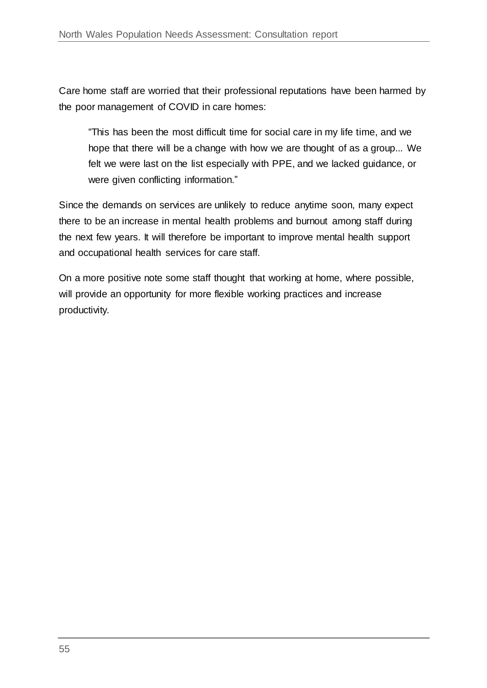Care home staff are worried that their professional reputations have been harmed by the poor management of COVID in care homes:

"This has been the most difficult time for social care in my life time, and we hope that there will be a change with how we are thought of as a group... We felt we were last on the list especially with PPE, and we lacked guidance, or were given conflicting information."

Since the demands on services are unlikely to reduce anytime soon, many expect there to be an increase in mental health problems and burnout among staff during the next few years. It will therefore be important to improve mental health support and occupational health services for care staff.

On a more positive note some staff thought that working at home, where possible, will provide an opportunity for more flexible working practices and increase productivity.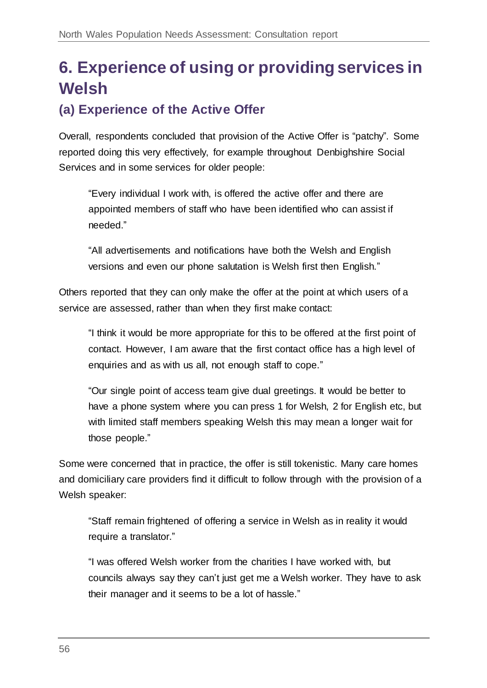# <span id="page-55-0"></span>**6. Experience of using or providing services in Welsh**

# **(a) Experience of the Active Offer**

Overall, respondents concluded that provision of the Active Offer is "patchy". Some reported doing this very effectively, for example throughout Denbighshire Social Services and in some services for older people:

"Every individual I work with, is offered the active offer and there are appointed members of staff who have been identified who can assist if needed."

"All advertisements and notifications have both the Welsh and English versions and even our phone salutation is Welsh first then English."

Others reported that they can only make the offer at the point at which users of a service are assessed, rather than when they first make contact:

"I think it would be more appropriate for this to be offered at the first point of contact. However, I am aware that the first contact office has a high level of enquiries and as with us all, not enough staff to cope."

"Our single point of access team give dual greetings. It would be better to have a phone system where you can press 1 for Welsh, 2 for English etc, but with limited staff members speaking Welsh this may mean a longer wait for those people."

Some were concerned that in practice, the offer is still tokenistic. Many care homes and domiciliary care providers find it difficult to follow through with the provision of a Welsh speaker:

"Staff remain frightened of offering a service in Welsh as in reality it would require a translator."

"I was offered Welsh worker from the charities I have worked with, but councils always say they can't just get me a Welsh worker. They have to ask their manager and it seems to be a lot of hassle."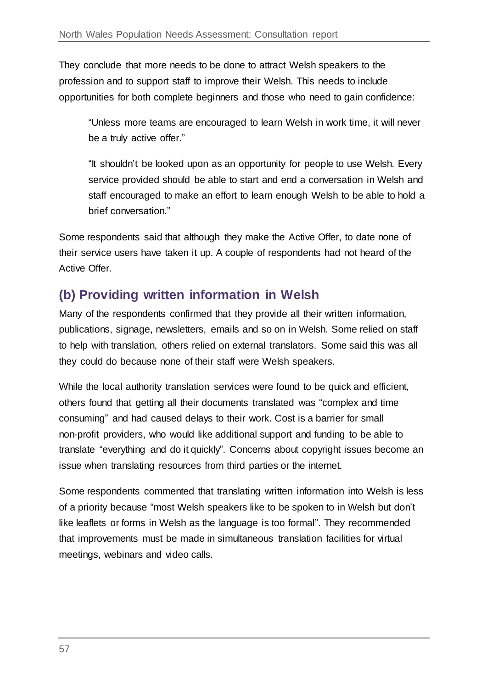They conclude that more needs to be done to attract Welsh speakers to the profession and to support staff to improve their Welsh. This needs to include opportunities for both complete beginners and those who need to gain confidence:

"Unless more teams are encouraged to learn Welsh in work time, it will never be a truly active offer."

"It shouldn't be looked upon as an opportunity for people to use Welsh. Every service provided should be able to start and end a conversation in Welsh and staff encouraged to make an effort to learn enough Welsh to be able to hold a brief conversation."

Some respondents said that although they make the Active Offer, to date none of their service users have taken it up. A couple of respondents had not heard of the Active Offer.

# **(b) Providing written information in Welsh**

Many of the respondents confirmed that they provide all their written information, publications, signage, newsletters, emails and so on in Welsh. Some relied on staff to help with translation, others relied on external translators. Some said this was all they could do because none of their staff were Welsh speakers.

While the local authority translation services were found to be quick and efficient, others found that getting all their documents translated was "complex and time consuming" and had caused delays to their work. Cost is a barrier for small non-profit providers, who would like additional support and funding to be able to translate "everything and do it quickly". Concerns about copyright issues become an issue when translating resources from third parties or the internet.

Some respondents commented that translating written information into Welsh is less of a priority because "most Welsh speakers like to be spoken to in Welsh but don't like leaflets or forms in Welsh as the language is too formal". They recommended that improvements must be made in simultaneous translation facilities for virtual meetings, webinars and video calls.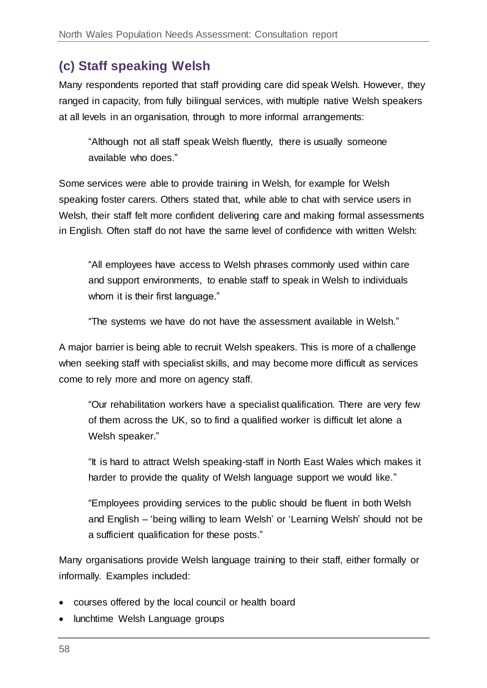# **(c) Staff speaking Welsh**

Many respondents reported that staff providing care did speak Welsh. However, they ranged in capacity, from fully bilingual services, with multiple native Welsh speakers at all levels in an organisation, through to more informal arrangements:

"Although not all staff speak Welsh fluently, there is usually someone available who does."

Some services were able to provide training in Welsh, for example for Welsh speaking foster carers. Others stated that, while able to chat with service users in Welsh, their staff felt more confident delivering care and making formal assessments in English. Often staff do not have the same level of confidence with written Welsh:

"All employees have access to Welsh phrases commonly used within care and support environments, to enable staff to speak in Welsh to individuals whom it is their first language."

"The systems we have do not have the assessment available in Welsh."

A major barrier is being able to recruit Welsh speakers. This is more of a challenge when seeking staff with specialist skills, and may become more difficult as services come to rely more and more on agency staff.

"Our rehabilitation workers have a specialist qualification. There are very few of them across the UK, so to find a qualified worker is difficult let alone a Welsh speaker."

"It is hard to attract Welsh speaking-staff in North East Wales which makes it harder to provide the quality of Welsh language support we would like."

"Employees providing services to the public should be fluent in both Welsh and English – 'being willing to learn Welsh' or 'Learning Welsh' should not be a sufficient qualification for these posts."

Many organisations provide Welsh language training to their staff, either formally or informally. Examples included:

- courses offered by the local council or health board
- lunchtime Welsh Language groups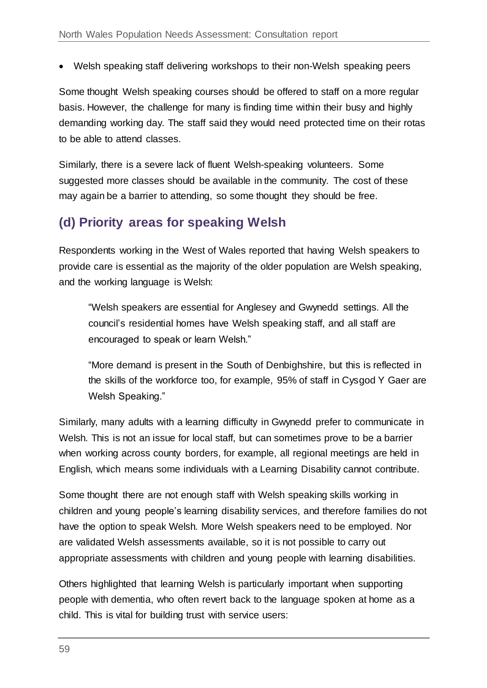Welsh speaking staff delivering workshops to their non-Welsh speaking peers

Some thought Welsh speaking courses should be offered to staff on a more regular basis. However, the challenge for many is finding time within their busy and highly demanding working day. The staff said they would need protected time on their rotas to be able to attend classes.

Similarly, there is a severe lack of fluent Welsh-speaking volunteers. Some suggested more classes should be available in the community. The cost of these may again be a barrier to attending, so some thought they should be free.

### **(d) Priority areas for speaking Welsh**

Respondents working in the West of Wales reported that having Welsh speakers to provide care is essential as the majority of the older population are Welsh speaking, and the working language is Welsh:

"Welsh speakers are essential for Anglesey and Gwynedd settings. All the council's residential homes have Welsh speaking staff, and all staff are encouraged to speak or learn Welsh."

"More demand is present in the South of Denbighshire, but this is reflected in the skills of the workforce too, for example, 95% of staff in Cysgod Y Gaer are Welsh Speaking."

Similarly, many adults with a learning difficulty in Gwynedd prefer to communicate in Welsh. This is not an issue for local staff, but can sometimes prove to be a barrier when working across county borders, for example, all regional meetings are held in English, which means some individuals with a Learning Disability cannot contribute.

Some thought there are not enough staff with Welsh speaking skills working in children and young people's learning disability services, and therefore families do not have the option to speak Welsh. More Welsh speakers need to be employed. Nor are validated Welsh assessments available, so it is not possible to carry out appropriate assessments with children and young people with learning disabilities.

Others highlighted that learning Welsh is particularly important when supporting people with dementia, who often revert back to the language spoken at home as a child. This is vital for building trust with service users: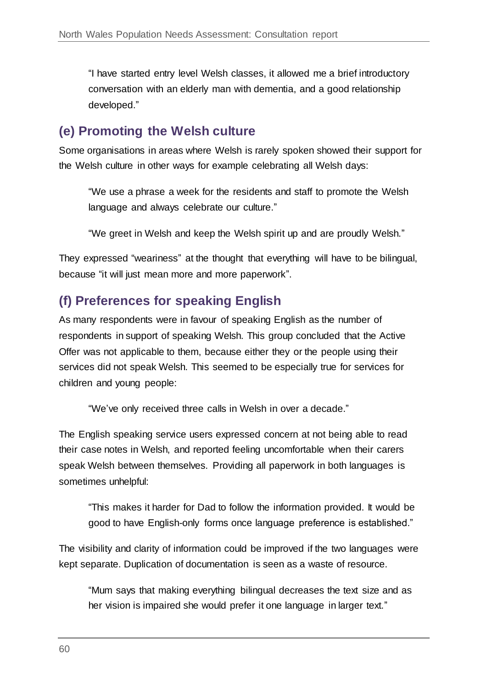"I have started entry level Welsh classes, it allowed me a brief introductory conversation with an elderly man with dementia, and a good relationship developed."

### **(e) Promoting the Welsh culture**

Some organisations in areas where Welsh is rarely spoken showed their support for the Welsh culture in other ways for example celebrating all Welsh days:

"We use a phrase a week for the residents and staff to promote the Welsh language and always celebrate our culture."

"We greet in Welsh and keep the Welsh spirit up and are proudly Welsh."

They expressed "weariness" at the thought that everything will have to be bilingual, because "it will just mean more and more paperwork".

### **(f) Preferences for speaking English**

As many respondents were in favour of speaking English as the number of respondents in support of speaking Welsh. This group concluded that the Active Offer was not applicable to them, because either they or the people using their services did not speak Welsh. This seemed to be especially true for services for children and young people:

"We've only received three calls in Welsh in over a decade."

The English speaking service users expressed concern at not being able to read their case notes in Welsh, and reported feeling uncomfortable when their carers speak Welsh between themselves. Providing all paperwork in both languages is sometimes unhelpful:

"This makes it harder for Dad to follow the information provided. It would be good to have English-only forms once language preference is established."

The visibility and clarity of information could be improved if the two languages were kept separate. Duplication of documentation is seen as a waste of resource.

"Mum says that making everything bilingual decreases the text size and as her vision is impaired she would prefer it one language in larger text."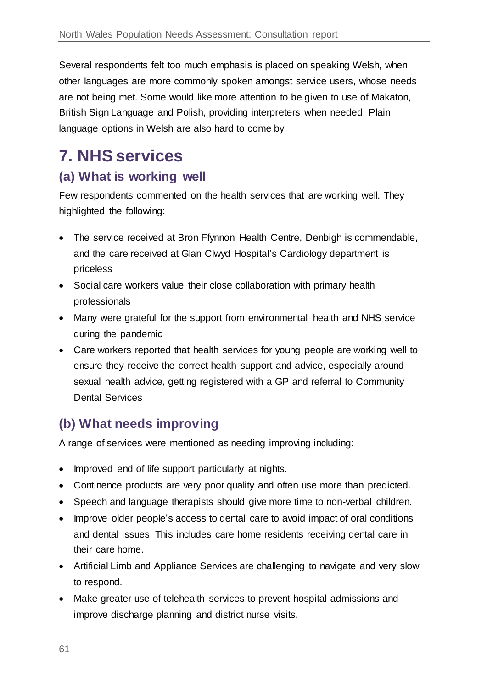Several respondents felt too much emphasis is placed on speaking Welsh, when other languages are more commonly spoken amongst service users, whose needs are not being met. Some would like more attention to be given to use of Makaton, British Sign Language and Polish, providing interpreters when needed. Plain language options in Welsh are also hard to come by.

# <span id="page-60-0"></span>**7. NHS services**

### **(a) What is working well**

Few respondents commented on the health services that are working well. They highlighted the following:

- The service received at Bron Ffynnon Health Centre, Denbigh is commendable, and the care received at Glan Clwyd Hospital's Cardiology department is priceless
- Social care workers value their close collaboration with primary health professionals
- Many were grateful for the support from environmental health and NHS service during the pandemic
- Care workers reported that health services for young people are working well to ensure they receive the correct health support and advice, especially around sexual health advice, getting registered with a GP and referral to Community Dental Services

### **(b) What needs improving**

A range of services were mentioned as needing improving including:

- Improved end of life support particularly at nights.
- Continence products are very poor quality and often use more than predicted.
- Speech and language therapists should give more time to non-verbal children.
- Improve older people's access to dental care to avoid impact of oral conditions and dental issues. This includes care home residents receiving dental care in their care home.
- Artificial Limb and Appliance Services are challenging to navigate and very slow to respond.
- Make greater use of telehealth services to prevent hospital admissions and improve discharge planning and district nurse visits.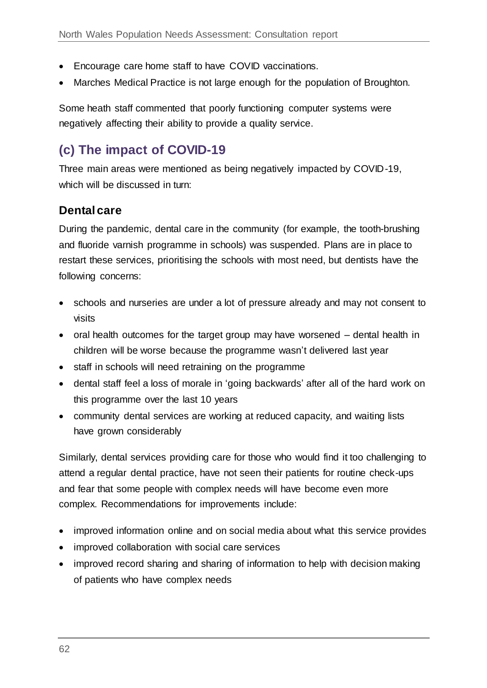- Encourage care home staff to have COVID vaccinations.
- Marches Medical Practice is not large enough for the population of Broughton.

Some heath staff commented that poorly functioning computer systems were negatively affecting their ability to provide a quality service.

# **(c) The impact of COVID-19**

Three main areas were mentioned as being negatively impacted by COVID-19, which will be discussed in turn:

#### **Dental care**

During the pandemic, dental care in the community (for example, the tooth-brushing and fluoride varnish programme in schools) was suspended. Plans are in place to restart these services, prioritising the schools with most need, but dentists have the following concerns:

- schools and nurseries are under a lot of pressure already and may not consent to visits
- oral health outcomes for the target group may have worsened dental health in children will be worse because the programme wasn't delivered last year
- staff in schools will need retraining on the programme
- dental staff feel a loss of morale in 'going backwards' after all of the hard work on this programme over the last 10 years
- community dental services are working at reduced capacity, and waiting lists have grown considerably

Similarly, dental services providing care for those who would find it too challenging to attend a regular dental practice, have not seen their patients for routine check-ups and fear that some people with complex needs will have become even more complex. Recommendations for improvements include:

- improved information online and on social media about what this service provides
- improved collaboration with social care services
- improved record sharing and sharing of information to help with decision making of patients who have complex needs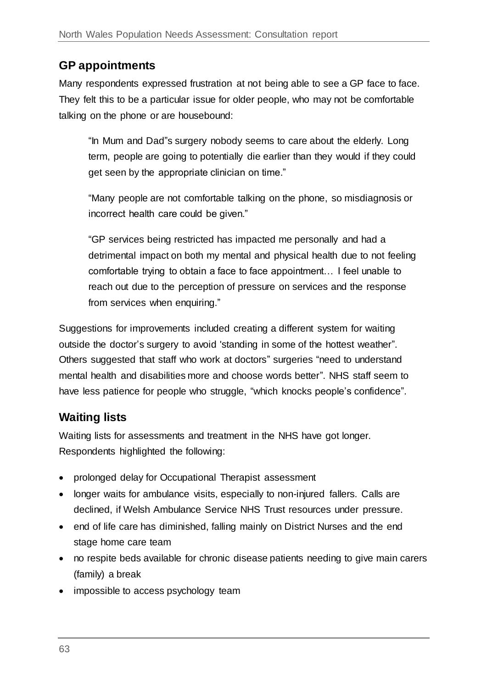### **GP appointments**

Many respondents expressed frustration at not being able to see a GP face to face. They felt this to be a particular issue for older people, who may not be comfortable talking on the phone or are housebound:

"In Mum and Dad"s surgery nobody seems to care about the elderly. Long term, people are going to potentially die earlier than they would if they could get seen by the appropriate clinician on time."

"Many people are not comfortable talking on the phone, so misdiagnosis or incorrect health care could be given."

"GP services being restricted has impacted me personally and had a detrimental impact on both my mental and physical health due to not feeling comfortable trying to obtain a face to face appointment… I feel unable to reach out due to the perception of pressure on services and the response from services when enquiring."

Suggestions for improvements included creating a different system for waiting outside the doctor's surgery to avoid 'standing in some of the hottest weather". Others suggested that staff who work at doctors" surgeries "need to understand mental health and disabilities more and choose words better". NHS staff seem to have less patience for people who struggle, "which knocks people's confidence".

### **Waiting lists**

Waiting lists for assessments and treatment in the NHS have got longer. Respondents highlighted the following:

- prolonged delay for Occupational Therapist assessment
- longer waits for ambulance visits, especially to non-injured fallers. Calls are declined, if Welsh Ambulance Service NHS Trust resources under pressure.
- end of life care has diminished, falling mainly on District Nurses and the end stage home care team
- no respite beds available for chronic disease patients needing to give main carers (family) a break
- impossible to access psychology team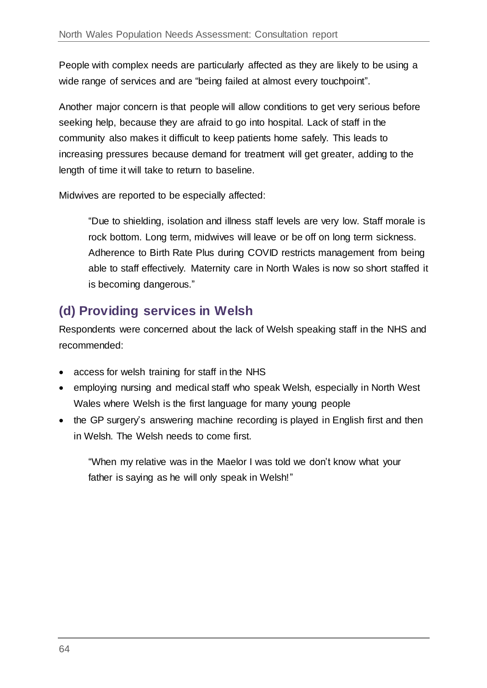People with complex needs are particularly affected as they are likely to be using a wide range of services and are "being failed at almost every touchpoint".

Another major concern is that people will allow conditions to get very serious before seeking help, because they are afraid to go into hospital. Lack of staff in the community also makes it difficult to keep patients home safely. This leads to increasing pressures because demand for treatment will get greater, adding to the length of time it will take to return to baseline.

Midwives are reported to be especially affected:

"Due to shielding, isolation and illness staff levels are very low. Staff morale is rock bottom. Long term, midwives will leave or be off on long term sickness. Adherence to Birth Rate Plus during COVID restricts management from being able to staff effectively. Maternity care in North Wales is now so short staffed it is becoming dangerous."

# **(d) Providing services in Welsh**

Respondents were concerned about the lack of Welsh speaking staff in the NHS and recommended:

- access for welsh training for staff in the NHS
- employing nursing and medical staff who speak Welsh, especially in North West Wales where Welsh is the first language for many young people
- the GP surgery's answering machine recording is played in English first and then in Welsh. The Welsh needs to come first.

"When my relative was in the Maelor I was told we don't know what your father is saying as he will only speak in Welsh!"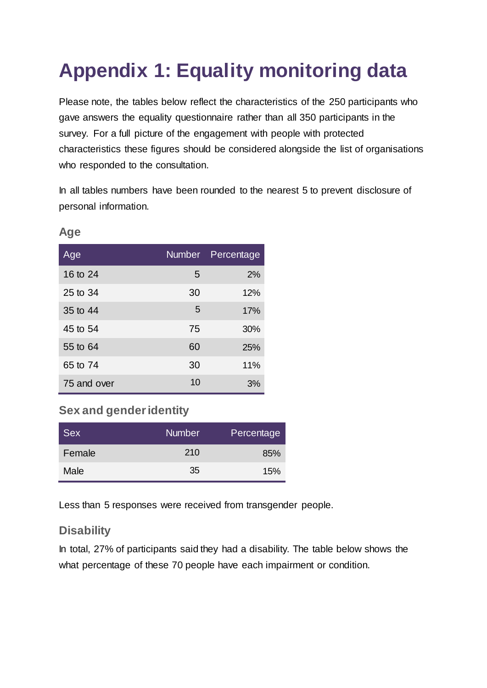# <span id="page-64-0"></span>**Appendix 1: Equality monitoring data**

Please note, the tables below reflect the characteristics of the 250 participants who gave answers the equality questionnaire rather than all 350 participants in the survey. For a full picture of the engagement with people with protected characteristics these figures should be considered alongside the list of organisations who responded to the consultation.

In all tables numbers have been rounded to the nearest 5 to prevent disclosure of personal information.

| Age         |    | Number Percentage |
|-------------|----|-------------------|
| 16 to 24    | 5  | 2%                |
| 25 to 34    | 30 | 12%               |
| 35 to 44    | 5  | 17%               |
| 45 to 54    | 75 | 30%               |
| 55 to 64    | 60 | 25%               |
| 65 to 74    | 30 | 11%               |
| 75 and over | 10 | 3%                |

**Age**

#### **Sex and gender identity**

| <b>Sex</b> | <b>Number</b> | Percentage |
|------------|---------------|------------|
| Female     | 210           | 85%        |
| Male       | 35            | 15%        |

Less than 5 responses were received from transgender people.

#### **Disability**

In total, 27% of participants said they had a disability. The table below shows the what percentage of these 70 people have each impairment or condition.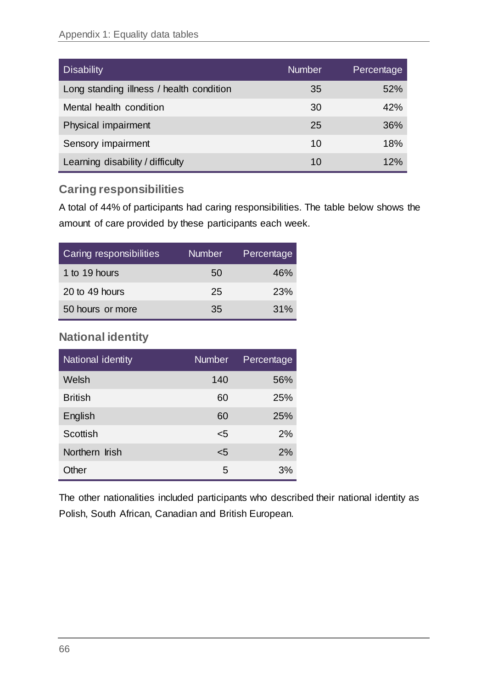| Disability                               | <b>Number</b> | Percentage |
|------------------------------------------|---------------|------------|
| Long standing illness / health condition | 35            | 52%        |
| Mental health condition                  | 30            | 42%        |
| Physical impairment                      | 25            | 36%        |
| Sensory impairment                       | 10            | 18%        |
| Learning disability / difficulty         | 10            | 12%        |

#### **Caring responsibilities**

A total of 44% of participants had caring responsibilities. The table below shows the amount of care provided by these participants each week.

| Caring responsibilities | <b>Number</b> | Percentage |
|-------------------------|---------------|------------|
| 1 to 19 hours           | 50            | 46%        |
| 20 to 49 hours          | 25            | 23%        |
| 50 hours or more        | 35            | 31%        |

### **National identity**

| National identity | <b>Number</b> | Percentage |
|-------------------|---------------|------------|
| Welsh             | 140           | 56%        |
| <b>British</b>    | 60            | 25%        |
| English           | 60            | 25%        |
| Scottish          | <5            | 2%         |
| Northern Irish    | <5            | 2%         |
| Other             | 5             | 3%         |

The other nationalities included participants who described their national identity as Polish, South African, Canadian and British European.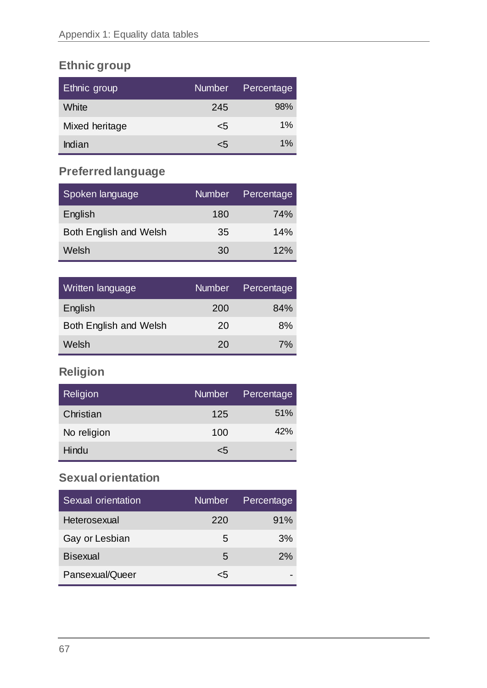# **Ethnic group**

| <b>Ethnic group</b> | Number | Percentage |
|---------------------|--------|------------|
| White               | 245    | 98%        |
| Mixed heritage      | <5     | $1\%$      |
| Indian              | <5     | $1\%$      |

# **Preferred language**

| Spoken language               | Number | Percentage |
|-------------------------------|--------|------------|
| English                       | 180    | <b>74%</b> |
| <b>Both English and Welsh</b> | 35     | 14%        |
| Welsh                         | 30     | 12%        |

| Written language              | Number | Percentage |
|-------------------------------|--------|------------|
| English                       | 200    | 84%        |
| <b>Both English and Welsh</b> | 20     | 8%         |
| Welsh                         | 20     | 7%         |

## **Religion**

| Religion    | Number <sub>s</sub> | Percentage |
|-------------|---------------------|------------|
| Christian   | 125                 | 51%        |
| No religion | 100                 | 42%        |
| Hindu       | $\leq 5$            |            |

### **Sexual orientation**

| Sexual orientation | <b>Number</b> | Percentage |
|--------------------|---------------|------------|
| Heterosexual       | 220           | 91%        |
| Gay or Lesbian     | 5             | 3%         |
| <b>Bisexual</b>    | 5             | 2%         |
| Pansexual/Queer    | ረ5            |            |